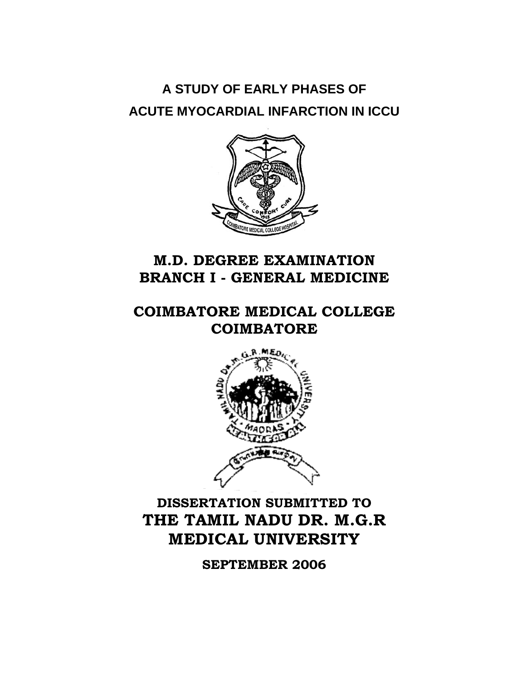# **A STUDY OF EARLY PHASES OF ACUTE MYOCARDIAL INFARCTION IN ICCU**



### **M.D. DEGREE EXAMINATION BRANCH I - GENERAL MEDICINE**

**COIMBATORE MEDICAL COLLEGE COIMBATORE** 



## **DISSERTATION SUBMITTED TO THE TAMIL NADU DR. M.G.R MEDICAL UNIVERSITY**

**SEPTEMBER 2006**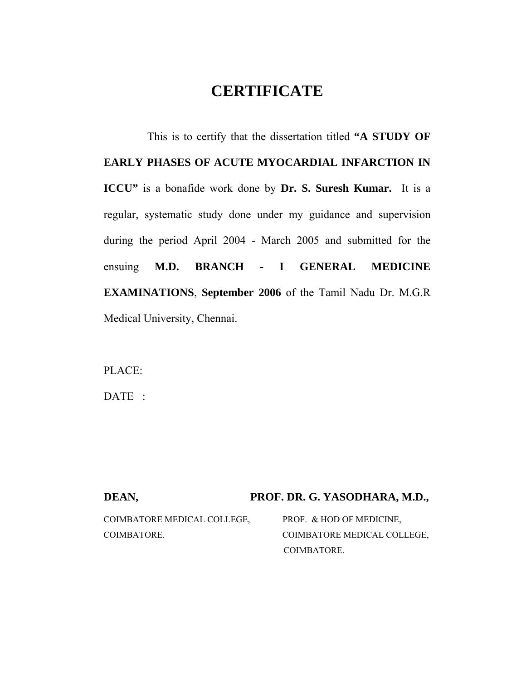### **CERTIFICATE**

 This is to certify that the dissertation titled **"A STUDY OF EARLY PHASES OF ACUTE MYOCARDIAL INFARCTION IN ICCU"** is a bonafide work done by **Dr. S. Suresh Kumar.** It is a regular, systematic study done under my guidance and supervision during the period April 2004 - March 2005 and submitted for the ensuing **M.D. BRANCH - I GENERAL MEDICINE EXAMINATIONS**, **September 2006** of the Tamil Nadu Dr. M.G.R Medical University, Chennai.

PLACE:

DATE :

#### DEAN, PROF. DR. G. YASODHARA, M.D.,

| COIMBATORE MEDICAL COLLEGE. | PROF. & HOD OF MEDICINE.    |  |
|-----------------------------|-----------------------------|--|
| COIMBATORE.                 | COIMBATORE MEDICAL COLLEGE, |  |
|                             | COIMBATORE.                 |  |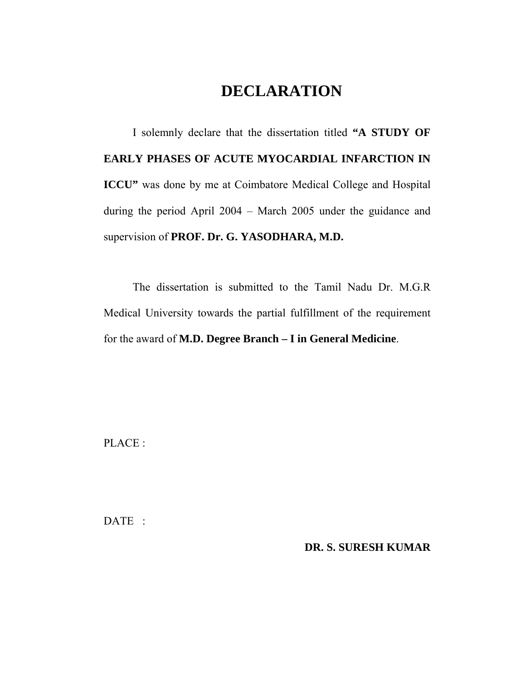### **DECLARATION**

I solemnly declare that the dissertation titled **"A STUDY OF EARLY PHASES OF ACUTE MYOCARDIAL INFARCTION IN ICCU"** was done by me at Coimbatore Medical College and Hospital during the period April 2004 – March 2005 under the guidance and supervision of **PROF. Dr. G. YASODHARA, M.D.** 

The dissertation is submitted to the Tamil Nadu Dr. M.G.R Medical University towards the partial fulfillment of the requirement for the award of **M.D. Degree Branch – I in General Medicine**.

PLACE :

DATE :

**DR. S. SURESH KUMAR**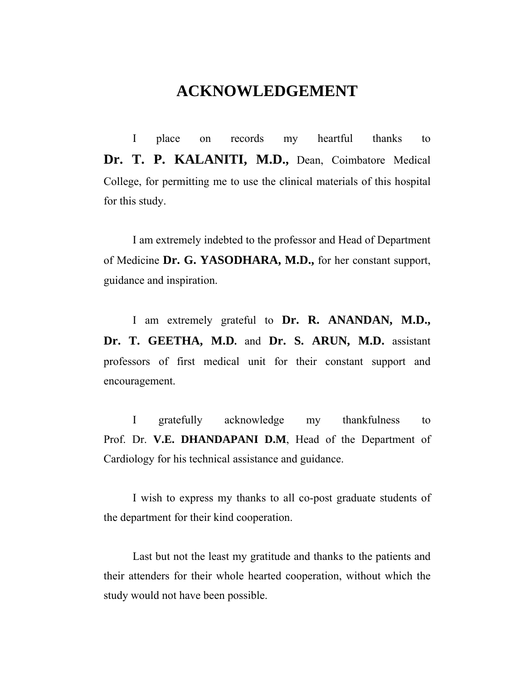### **ACKNOWLEDGEMENT**

I place on records my heartful thanks to Dr. T. P. KALANITI, M.D., Dean, Coimbatore Medical College, for permitting me to use the clinical materials of this hospital for this study.

I am extremely indebted to the professor and Head of Department of Medicine **Dr. G. YASODHARA, M.D.,** for her constant support, guidance and inspiration.

I am extremely grateful to **Dr. R. ANANDAN, M.D., Dr. T. GEETHA, M.D.** and **Dr. S. ARUN, M.D.** assistant professors of first medical unit for their constant support and encouragement.

I gratefully acknowledge my thankfulness to Prof. Dr. **V.E. DHANDAPANI D.M**, Head of the Department of Cardiology for his technical assistance and guidance.

I wish to express my thanks to all co-post graduate students of the department for their kind cooperation.

Last but not the least my gratitude and thanks to the patients and their attenders for their whole hearted cooperation, without which the study would not have been possible.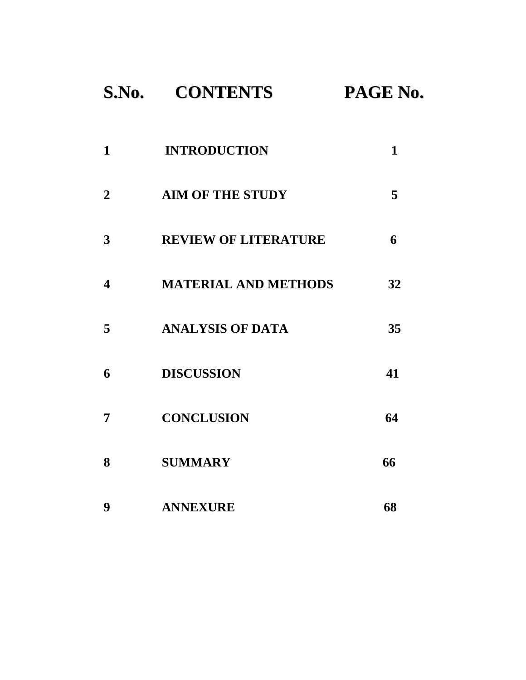# **S.No. CONTENTS PAGE No.**

| 1                | <b>INTRODUCTION</b>         | 1  |
|------------------|-----------------------------|----|
| $\mathbf{2}$     | <b>AIM OF THE STUDY</b>     | 5  |
| 3                | <b>REVIEW OF LITERATURE</b> | 6  |
| $\boldsymbol{4}$ | <b>MATERIAL AND METHODS</b> | 32 |
| 5                | <b>ANALYSIS OF DATA</b>     | 35 |
| 6                | <b>DISCUSSION</b>           | 41 |
| 7                | <b>CONCLUSION</b>           | 64 |
| 8                | <b>SUMMARY</b>              | 66 |
| 9                | <b>ANNEXURE</b>             | 68 |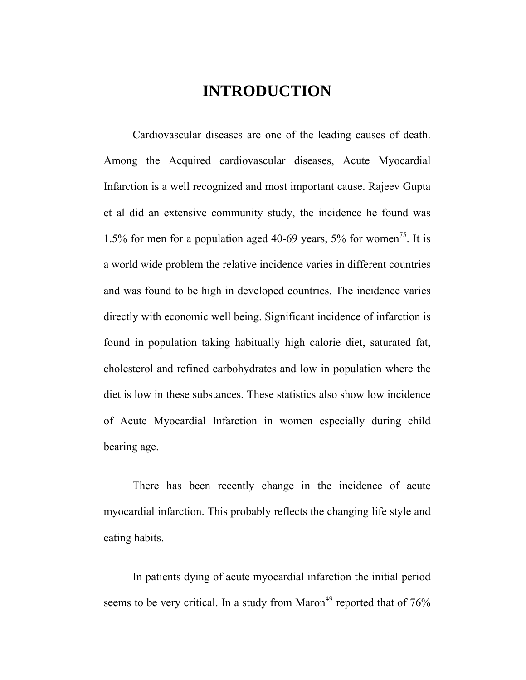### **INTRODUCTION**

 Cardiovascular diseases are one of the leading causes of death. Among the Acquired cardiovascular diseases, Acute Myocardial Infarction is a well recognized and most important cause. Rajeev Gupta et al did an extensive community study, the incidence he found was 1.5% for men for a population aged 40-69 years,  $5\%$  for women<sup>75</sup>. It is a world wide problem the relative incidence varies in different countries and was found to be high in developed countries. The incidence varies directly with economic well being. Significant incidence of infarction is found in population taking habitually high calorie diet, saturated fat, cholesterol and refined carbohydrates and low in population where the diet is low in these substances. These statistics also show low incidence of Acute Myocardial Infarction in women especially during child bearing age.

 There has been recently change in the incidence of acute myocardial infarction. This probably reflects the changing life style and eating habits.

In patients dying of acute myocardial infarction the initial period seems to be very critical. In a study from Maron<sup>49</sup> reported that of  $76\%$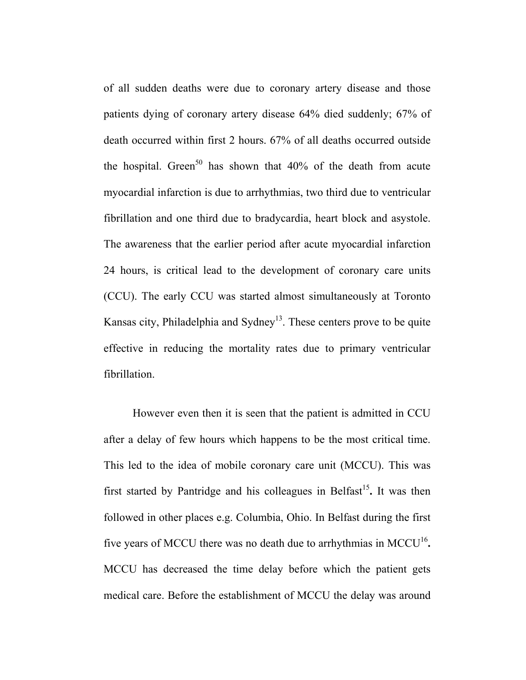of all sudden deaths were due to coronary artery disease and those patients dying of coronary artery disease 64% died suddenly; 67% of death occurred within first 2 hours. 67% of all deaths occurred outside the hospital. Green<sup>50</sup> has shown that  $40\%$  of the death from acute myocardial infarction is due to arrhythmias, two third due to ventricular fibrillation and one third due to bradycardia, heart block and asystole. The awareness that the earlier period after acute myocardial infarction 24 hours, is critical lead to the development of coronary care units (CCU). The early CCU was started almost simultaneously at Toronto Kansas city, Philadelphia and Sydney<sup>13</sup>. These centers prove to be quite effective in reducing the mortality rates due to primary ventricular fibrillation.

 However even then it is seen that the patient is admitted in CCU after a delay of few hours which happens to be the most critical time. This led to the idea of mobile coronary care unit (MCCU). This was first started by Pantridge and his colleagues in Belfast<sup>15</sup>. It was then followed in other places e.g. Columbia, Ohio. In Belfast during the first five years of MCCU there was no death due to arrhythmias in MCCU<sup>16</sup>**.** MCCU has decreased the time delay before which the patient gets medical care. Before the establishment of MCCU the delay was around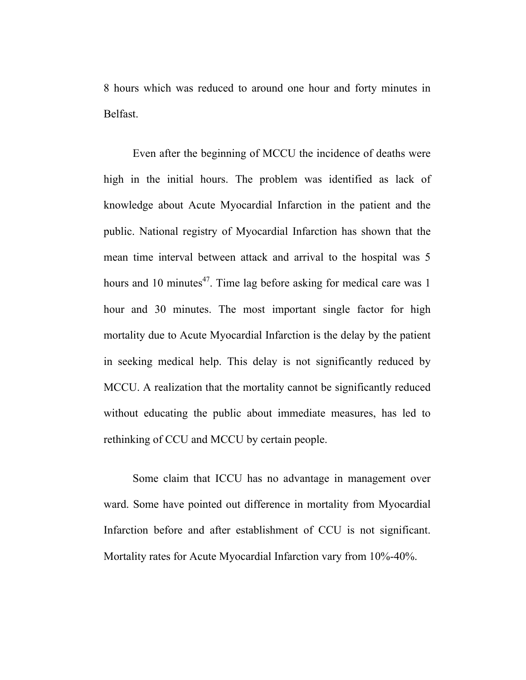8 hours which was reduced to around one hour and forty minutes in Belfast.

Even after the beginning of MCCU the incidence of deaths were high in the initial hours. The problem was identified as lack of knowledge about Acute Myocardial Infarction in the patient and the public. National registry of Myocardial Infarction has shown that the mean time interval between attack and arrival to the hospital was 5 hours and 10 minutes $47$ . Time lag before asking for medical care was 1 hour and 30 minutes. The most important single factor for high mortality due to Acute Myocardial Infarction is the delay by the patient in seeking medical help. This delay is not significantly reduced by MCCU. A realization that the mortality cannot be significantly reduced without educating the public about immediate measures, has led to rethinking of CCU and MCCU by certain people.

Some claim that ICCU has no advantage in management over ward. Some have pointed out difference in mortality from Myocardial Infarction before and after establishment of CCU is not significant. Mortality rates for Acute Myocardial Infarction vary from 10%-40%.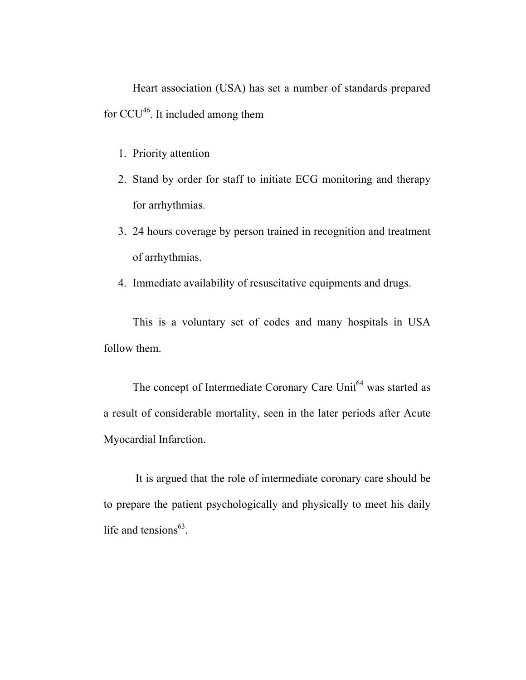Heart association (USA) has set a number of standards prepared for  $CCU^{46}$ . It included among them

- 1. Priority attention
- 2. Stand by order for staff to initiate ECG monitoring and therapy for arrhythmias.
- 3. 24 hours coverage by person trained in recognition and treatment of arrhythmias.
- 4. Immediate availability of resuscitative equipments and drugs.

This is a voluntary set of codes and many hospitals in USA follow them.

The concept of Intermediate Coronary Care Unit<sup>64</sup> was started as a result of considerable mortality, seen in the later periods after Acute Myocardial Infarction.

 It is argued that the role of intermediate coronary care should be to prepare the patient psychologically and physically to meet his daily life and tensions $^{63}$ .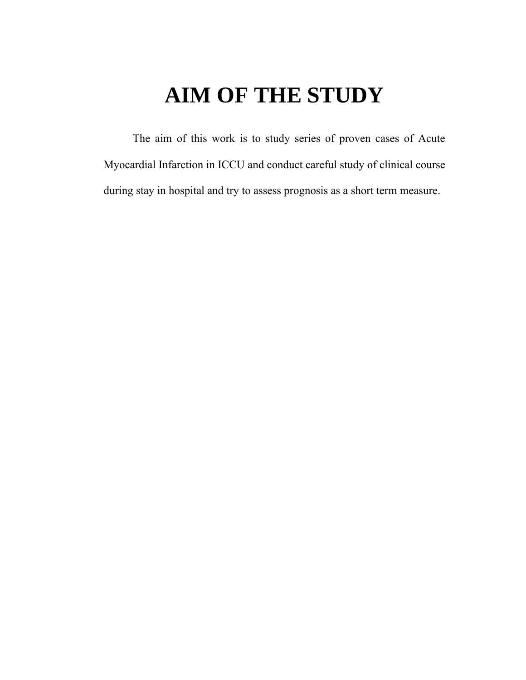# **AIM OF THE STUDY**

The aim of this work is to study series of proven cases of Acute Myocardial Infarction in ICCU and conduct careful study of clinical course during stay in hospital and try to assess prognosis as a short term measure.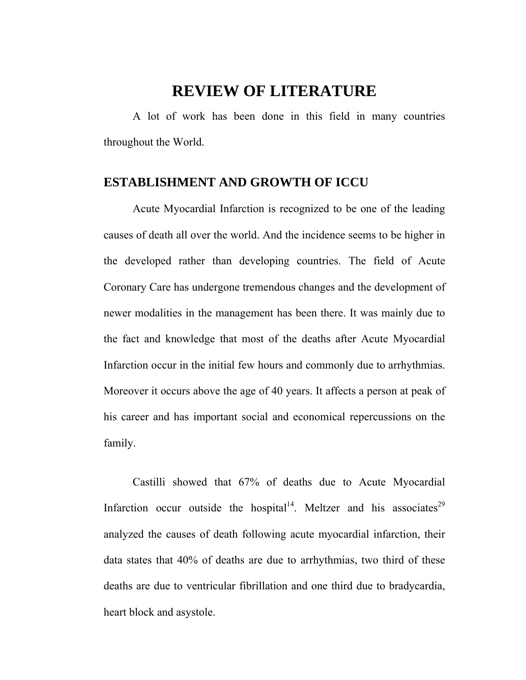### **REVIEW OF LITERATURE**

 A lot of work has been done in this field in many countries throughout the World.

#### **ESTABLISHMENT AND GROWTH OF ICCU**

Acute Myocardial Infarction is recognized to be one of the leading causes of death all over the world. And the incidence seems to be higher in the developed rather than developing countries. The field of Acute Coronary Care has undergone tremendous changes and the development of newer modalities in the management has been there. It was mainly due to the fact and knowledge that most of the deaths after Acute Myocardial Infarction occur in the initial few hours and commonly due to arrhythmias. Moreover it occurs above the age of 40 years. It affects a person at peak of his career and has important social and economical repercussions on the family.

 Castilli showed that 67% of deaths due to Acute Myocardial Infarction occur outside the hospital<sup>14</sup>. Meltzer and his associates<sup>29</sup> analyzed the causes of death following acute myocardial infarction, their data states that 40% of deaths are due to arrhythmias, two third of these deaths are due to ventricular fibrillation and one third due to bradycardia, heart block and asystole.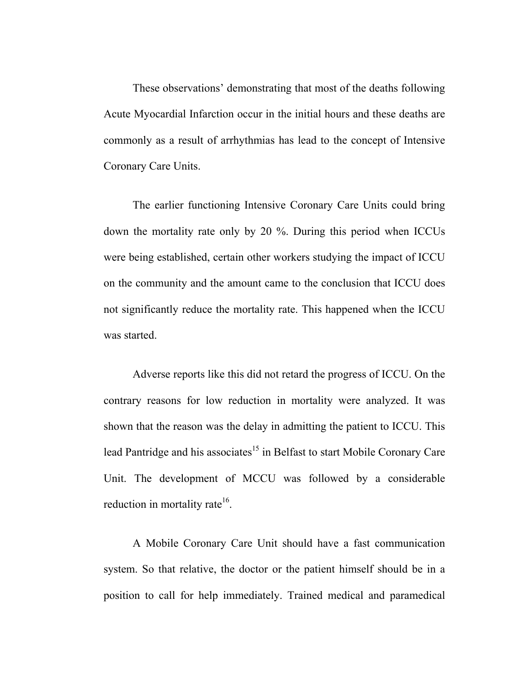These observations' demonstrating that most of the deaths following Acute Myocardial Infarction occur in the initial hours and these deaths are commonly as a result of arrhythmias has lead to the concept of Intensive Coronary Care Units.

 The earlier functioning Intensive Coronary Care Units could bring down the mortality rate only by 20 %. During this period when ICCUs were being established, certain other workers studying the impact of ICCU on the community and the amount came to the conclusion that ICCU does not significantly reduce the mortality rate. This happened when the ICCU was started.

Adverse reports like this did not retard the progress of ICCU. On the contrary reasons for low reduction in mortality were analyzed. It was shown that the reason was the delay in admitting the patient to ICCU. This lead Pantridge and his associates<sup>15</sup> in Belfast to start Mobile Coronary Care Unit. The development of MCCU was followed by a considerable reduction in mortality rate $16$ .

A Mobile Coronary Care Unit should have a fast communication system. So that relative, the doctor or the patient himself should be in a position to call for help immediately. Trained medical and paramedical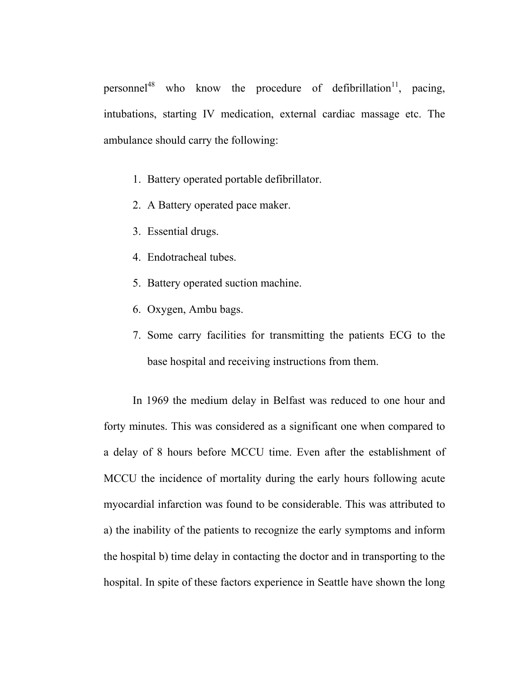personnel<sup>48</sup> who know the procedure of defibrillation<sup>11</sup>, pacing, intubations, starting IV medication, external cardiac massage etc. The ambulance should carry the following:

- 1. Battery operated portable defibrillator.
- 2. A Battery operated pace maker.
- 3. Essential drugs.
- 4. Endotracheal tubes.
- 5. Battery operated suction machine.
- 6. Oxygen, Ambu bags.
- 7. Some carry facilities for transmitting the patients ECG to the base hospital and receiving instructions from them.

In 1969 the medium delay in Belfast was reduced to one hour and forty minutes. This was considered as a significant one when compared to a delay of 8 hours before MCCU time. Even after the establishment of MCCU the incidence of mortality during the early hours following acute myocardial infarction was found to be considerable. This was attributed to a) the inability of the patients to recognize the early symptoms and inform the hospital b) time delay in contacting the doctor and in transporting to the hospital. In spite of these factors experience in Seattle have shown the long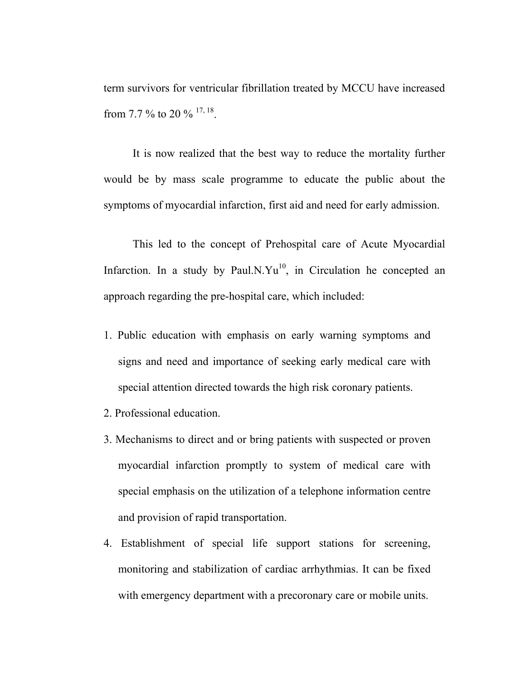term survivors for ventricular fibrillation treated by MCCU have increased from 7.7 % to 20 %  $^{17, 18}$ .

It is now realized that the best way to reduce the mortality further would be by mass scale programme to educate the public about the symptoms of myocardial infarction, first aid and need for early admission.

 This led to the concept of Prehospital care of Acute Myocardial Infarction. In a study by Paul.N.Yu<sup>10</sup>, in Circulation he concepted an approach regarding the pre-hospital care, which included:

- 1. Public education with emphasis on early warning symptoms and signs and need and importance of seeking early medical care with special attention directed towards the high risk coronary patients.
- 2. Professional education.
- 3. Mechanisms to direct and or bring patients with suspected or proven myocardial infarction promptly to system of medical care with special emphasis on the utilization of a telephone information centre and provision of rapid transportation.
- 4. Establishment of special life support stations for screening, monitoring and stabilization of cardiac arrhythmias. It can be fixed with emergency department with a precoronary care or mobile units.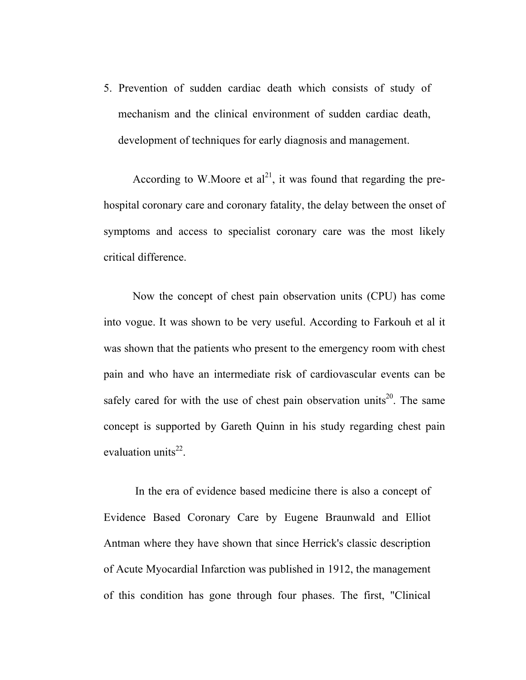5. Prevention of sudden cardiac death which consists of study of mechanism and the clinical environment of sudden cardiac death, development of techniques for early diagnosis and management.

According to W.Moore et  $al^{21}$ , it was found that regarding the prehospital coronary care and coronary fatality, the delay between the onset of symptoms and access to specialist coronary care was the most likely critical difference.

 Now the concept of chest pain observation units (CPU) has come into vogue. It was shown to be very useful. According to Farkouh et al it was shown that the patients who present to the emergency room with chest pain and who have an intermediate risk of cardiovascular events can be safely cared for with the use of chest pain observation units<sup>20</sup>. The same concept is supported by Gareth Quinn in his study regarding chest pain evaluation units $^{22}$ .

 In the era of evidence based medicine there is also a concept of Evidence Based Coronary Care by Eugene Braunwald and Elliot Antman where they have shown that since Herrick's classic description of Acute Myocardial Infarction was published in 1912, the management of this condition has gone through four phases. The first, "Clinical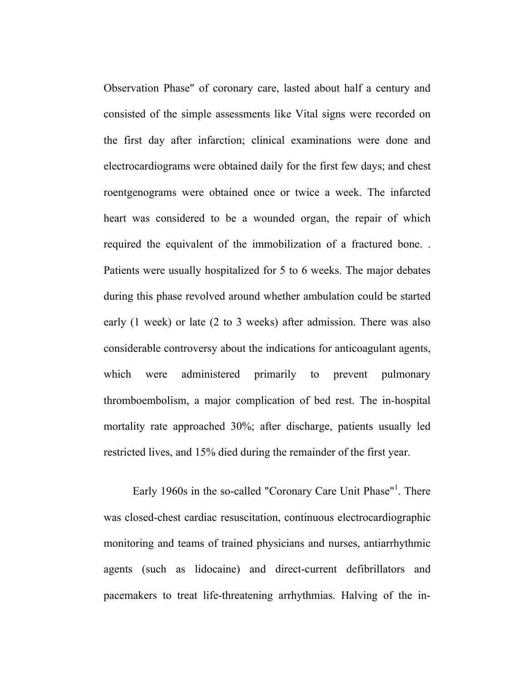Observation Phase" of coronary care, lasted about half a century and consisted of the simple assessments like Vital signs were recorded on the first day after infarction; clinical examinations were done and electrocardiograms were obtained daily for the first few days; and chest roentgenograms were obtained once or twice a week. The infarcted heart was considered to be a wounded organ, the repair of which required the equivalent of the immobilization of a fractured bone. . Patients were usually hospitalized for 5 to 6 weeks. The major debates during this phase revolved around whether ambulation could be started early (1 week) or late (2 to 3 weeks) after admission. There was also considerable controversy about the indications for anticoagulant agents, which were administered primarily to prevent pulmonary thromboembolism, a major complication of bed rest. The in-hospital mortality rate approached 30%; after discharge, patients usually led restricted lives, and 15% died during the remainder of the first year.

Early 1960s in the so-called "Coronary Care Unit Phase"<sup>1</sup>. There was closed-chest cardiac resuscitation, continuous electrocardiographic monitoring and teams of trained physicians and nurses, antiarrhythmic agents (such as lidocaine) and direct-current defibrillators and pacemakers to treat life-threatening arrhythmias. Halving of the in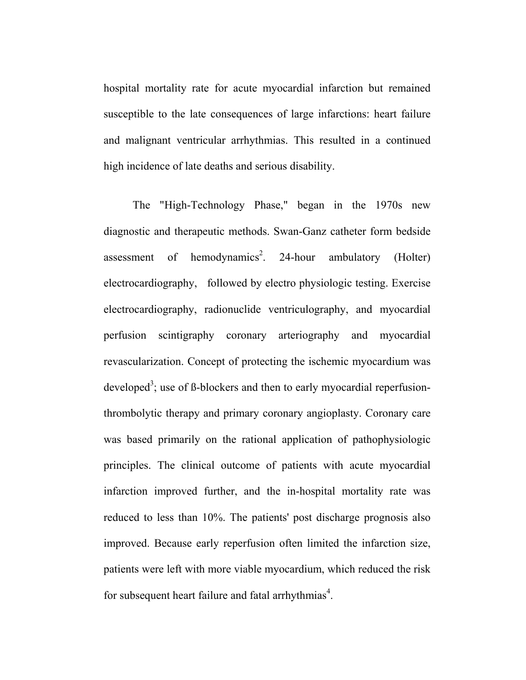hospital mortality rate for acute myocardial infarction but remained susceptible to the late consequences of large infarctions: heart failure and malignant ventricular arrhythmias. This resulted in a continued high incidence of late deaths and serious disability.

The "High-Technology Phase," began in the 1970s new diagnostic and therapeutic methods. Swan-Ganz catheter form bedside assessment of hemodynamics<sup>2</sup>. 24-hour ambulatory (Holter) electrocardiography, followed by electro physiologic testing. Exercise electrocardiography, radionuclide ventriculography, and myocardial perfusion scintigraphy coronary arteriography and myocardial revascularization. Concept of protecting the ischemic myocardium was developed<sup>3</sup>; use of ß-blockers and then to early myocardial reperfusionthrombolytic therapy and primary coronary angioplasty. Coronary care was based primarily on the rational application of pathophysiologic principles. The clinical outcome of patients with acute myocardial infarction improved further, and the in-hospital mortality rate was reduced to less than 10%. The patients' post discharge prognosis also improved. Because early reperfusion often limited the infarction size, patients were left with more viable myocardium, which reduced the risk for subsequent heart failure and fatal arrhythmias<sup>4</sup>.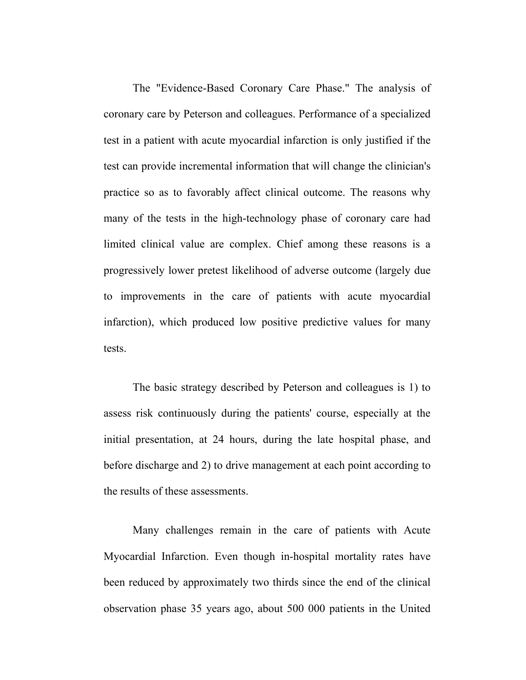The "Evidence-Based Coronary Care Phase." The analysis of coronary care by Peterson and colleagues. Performance of a specialized test in a patient with acute myocardial infarction is only justified if the test can provide incremental information that will change the clinician's practice so as to favorably affect clinical outcome. The reasons why many of the tests in the high-technology phase of coronary care had limited clinical value are complex. Chief among these reasons is a progressively lower pretest likelihood of adverse outcome (largely due to improvements in the care of patients with acute myocardial infarction), which produced low positive predictive values for many tests.

The basic strategy described by Peterson and colleagues is 1) to assess risk continuously during the patients' course, especially at the initial presentation, at 24 hours, during the late hospital phase, and before discharge and 2) to drive management at each point according to the results of these assessments.

Many challenges remain in the care of patients with Acute Myocardial Infarction. Even though in-hospital mortality rates have been reduced by approximately two thirds since the end of the clinical observation phase 35 years ago, about 500 000 patients in the United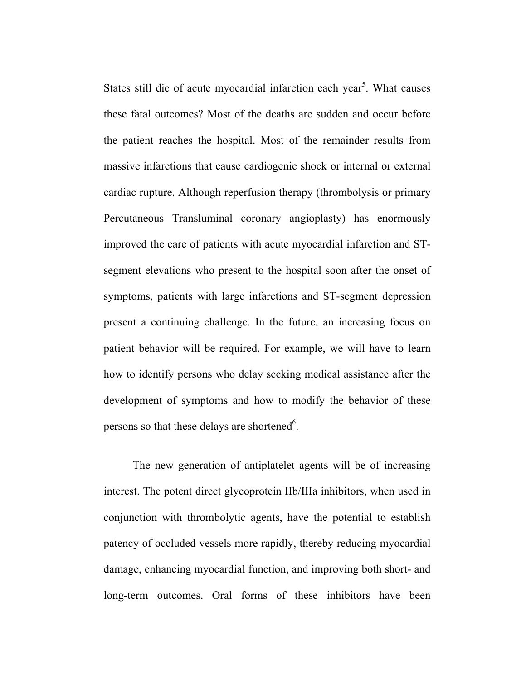States still die of acute myocardial infarction each year<sup>5</sup>. What causes these fatal outcomes? Most of the deaths are sudden and occur before the patient reaches the hospital. Most of the remainder results from massive infarctions that cause cardiogenic shock or internal or external cardiac rupture. Although reperfusion therapy (thrombolysis or primary Percutaneous Transluminal coronary angioplasty) has enormously improved the care of patients with acute myocardial infarction and STsegment elevations who present to the hospital soon after the onset of symptoms, patients with large infarctions and ST-segment depression present a continuing challenge. In the future, an increasing focus on patient behavior will be required. For example, we will have to learn how to identify persons who delay seeking medical assistance after the development of symptoms and how to modify the behavior of these persons so that these delays are shortened<sup>6</sup>.

The new generation of antiplatelet agents will be of increasing interest. The potent direct glycoprotein IIb/IIIa inhibitors, when used in conjunction with thrombolytic agents, have the potential to establish patency of occluded vessels more rapidly, thereby reducing myocardial damage, enhancing myocardial function, and improving both short- and long-term outcomes. Oral forms of these inhibitors have been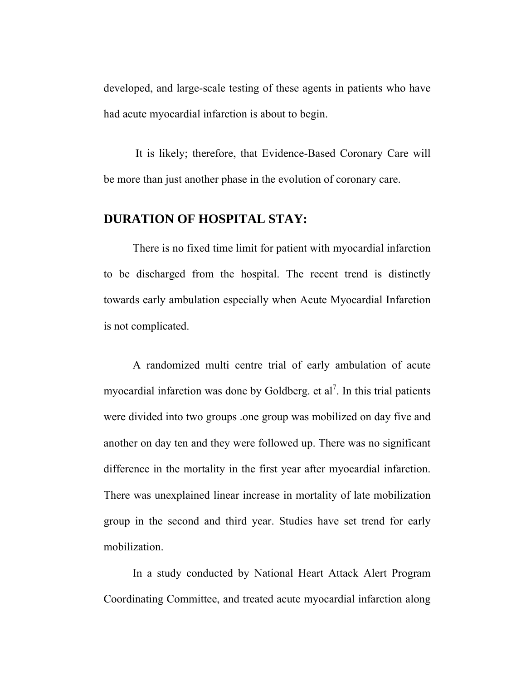developed, and large-scale testing of these agents in patients who have had acute myocardial infarction is about to begin.

 It is likely; therefore, that Evidence-Based Coronary Care will be more than just another phase in the evolution of coronary care.

### **DURATION OF HOSPITAL STAY:**

 There is no fixed time limit for patient with myocardial infarction to be discharged from the hospital. The recent trend is distinctly towards early ambulation especially when Acute Myocardial Infarction is not complicated.

 A randomized multi centre trial of early ambulation of acute myocardial infarction was done by Goldberg. et  $al^7$ . In this trial patients were divided into two groups .one group was mobilized on day five and another on day ten and they were followed up. There was no significant difference in the mortality in the first year after myocardial infarction. There was unexplained linear increase in mortality of late mobilization group in the second and third year. Studies have set trend for early mobilization.

 In a study conducted by National Heart Attack Alert Program Coordinating Committee, and treated acute myocardial infarction along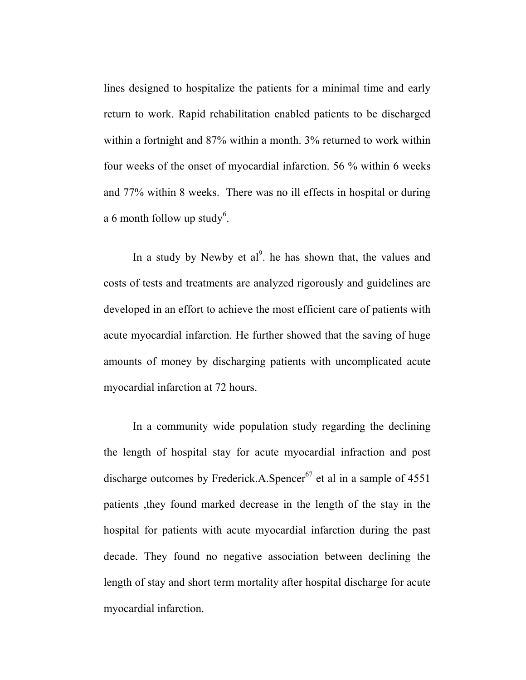lines designed to hospitalize the patients for a minimal time and early return to work. Rapid rehabilitation enabled patients to be discharged within a fortnight and 87% within a month. 3% returned to work within four weeks of the onset of myocardial infarction. 56 % within 6 weeks and 77% within 8 weeks. There was no ill effects in hospital or during a 6 month follow up study<sup>6</sup>.

In a study by Newby et  $al^9$ . he has shown that, the values and costs of tests and treatments are analyzed rigorously and guidelines are developed in an effort to achieve the most efficient care of patients with acute myocardial infarction. He further showed that the saving of huge amounts of money by discharging patients with uncomplicated acute myocardial infarction at 72 hours.

 In a community wide population study regarding the declining the length of hospital stay for acute myocardial infraction and post discharge outcomes by Frederick.A.Spencer<sup>67</sup> et al in a sample of  $4551$ patients ,they found marked decrease in the length of the stay in the hospital for patients with acute myocardial infarction during the past decade. They found no negative association between declining the length of stay and short term mortality after hospital discharge for acute myocardial infarction.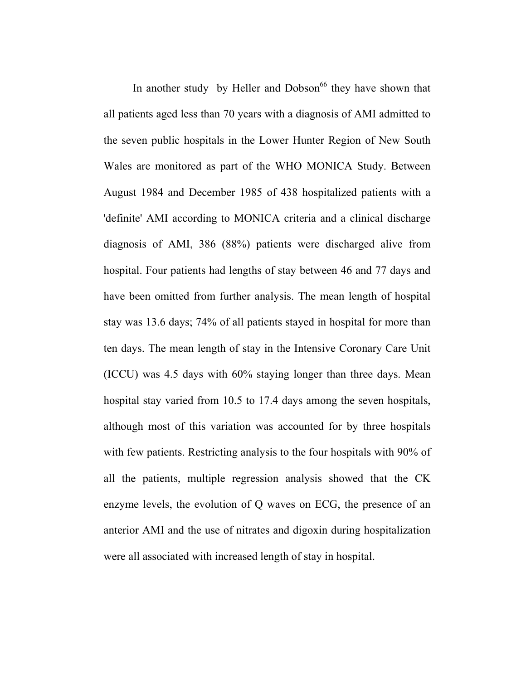In another study by Heller and Dobson<sup>66</sup> they have shown that all patients aged less than 70 years with a diagnosis of AMI admitted to the seven public hospitals in the Lower Hunter Region of New South Wales are monitored as part of the WHO MONICA Study. Between August 1984 and December 1985 of 438 hospitalized patients with a 'definite' AMI according to MONICA criteria and a clinical discharge diagnosis of AMI, 386 (88%) patients were discharged alive from hospital. Four patients had lengths of stay between 46 and 77 days and have been omitted from further analysis. The mean length of hospital stay was 13.6 days; 74% of all patients stayed in hospital for more than ten days. The mean length of stay in the Intensive Coronary Care Unit (ICCU) was 4.5 days with 60% staying longer than three days. Mean hospital stay varied from 10.5 to 17.4 days among the seven hospitals, although most of this variation was accounted for by three hospitals with few patients. Restricting analysis to the four hospitals with 90% of all the patients, multiple regression analysis showed that the CK enzyme levels, the evolution of Q waves on ECG, the presence of an anterior AMI and the use of nitrates and digoxin during hospitalization were all associated with increased length of stay in hospital.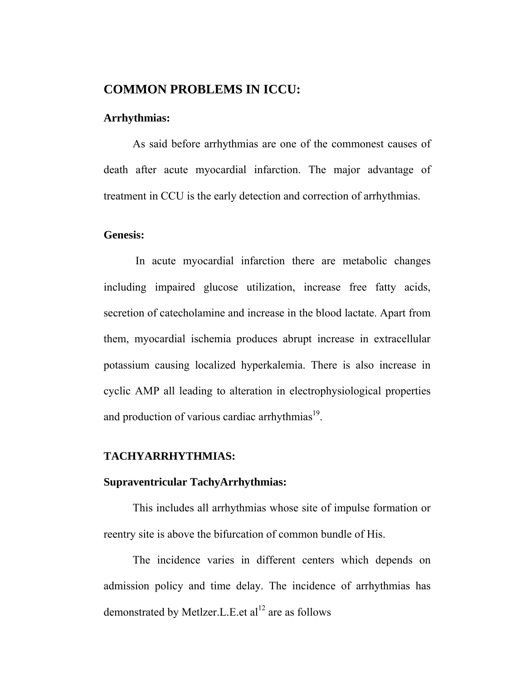#### **COMMON PROBLEMS IN ICCU:**

#### **Arrhythmias:**

 As said before arrhythmias are one of the commonest causes of death after acute myocardial infarction. The major advantage of treatment in CCU is the early detection and correction of arrhythmias.

#### **Genesis:**

 In acute myocardial infarction there are metabolic changes including impaired glucose utilization, increase free fatty acids, secretion of catecholamine and increase in the blood lactate. Apart from them, myocardial ischemia produces abrupt increase in extracellular potassium causing localized hyperkalemia. There is also increase in cyclic AMP all leading to alteration in electrophysiological properties and production of various cardiac arrhythmias<sup>19</sup>.

#### **TACHYARRHYTHMIAS:**

#### **Supraventricular TachyArrhythmias:**

This includes all arrhythmias whose site of impulse formation or reentry site is above the bifurcation of common bundle of His.

The incidence varies in different centers which depends on admission policy and time delay. The incidence of arrhythmias has demonstrated by Metlzer. L.E. et  $al<sup>12</sup>$  are as follows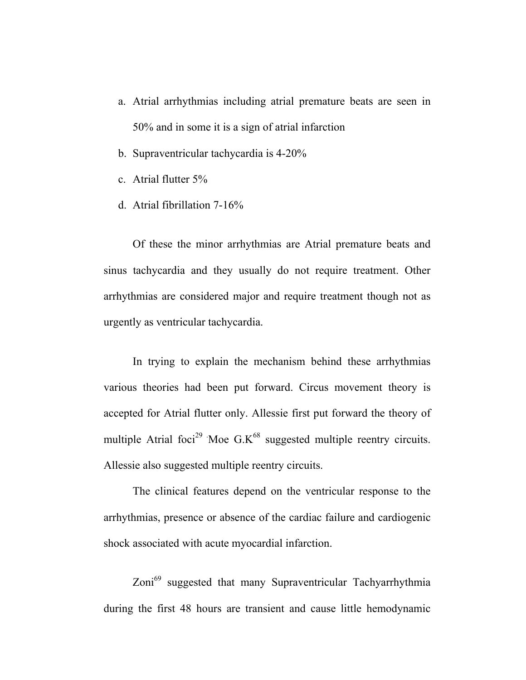- a. Atrial arrhythmias including atrial premature beats are seen in 50% and in some it is a sign of atrial infarction
- b. Supraventricular tachycardia is 4-20%
- c. Atrial flutter 5%
- d. Atrial fibrillation 7-16%

Of these the minor arrhythmias are Atrial premature beats and sinus tachycardia and they usually do not require treatment. Other arrhythmias are considered major and require treatment though not as urgently as ventricular tachycardia.

 In trying to explain the mechanism behind these arrhythmias various theories had been put forward. Circus movement theory is accepted for Atrial flutter only. Allessie first put forward the theory of multiple Atrial foci<sup>29</sup> Moe  $G.K^{68}$  suggested multiple reentry circuits. Allessie also suggested multiple reentry circuits.

The clinical features depend on the ventricular response to the arrhythmias, presence or absence of the cardiac failure and cardiogenic shock associated with acute myocardial infarction.

Zoni<sup>69</sup> suggested that many Supraventricular Tachyarrhythmia during the first 48 hours are transient and cause little hemodynamic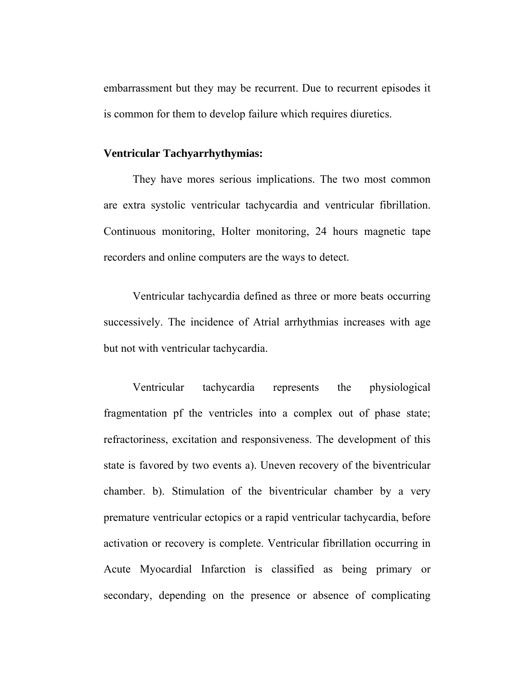embarrassment but they may be recurrent. Due to recurrent episodes it is common for them to develop failure which requires diuretics.

#### **Ventricular Tachyarrhythymias:**

 They have mores serious implications. The two most common are extra systolic ventricular tachycardia and ventricular fibrillation. Continuous monitoring, Holter monitoring, 24 hours magnetic tape recorders and online computers are the ways to detect.

 Ventricular tachycardia defined as three or more beats occurring successively. The incidence of Atrial arrhythmias increases with age but not with ventricular tachycardia.

 Ventricular tachycardia represents the physiological fragmentation pf the ventricles into a complex out of phase state; refractoriness, excitation and responsiveness. The development of this state is favored by two events a). Uneven recovery of the biventricular chamber. b). Stimulation of the biventricular chamber by a very premature ventricular ectopics or a rapid ventricular tachycardia, before activation or recovery is complete. Ventricular fibrillation occurring in Acute Myocardial Infarction is classified as being primary or secondary, depending on the presence or absence of complicating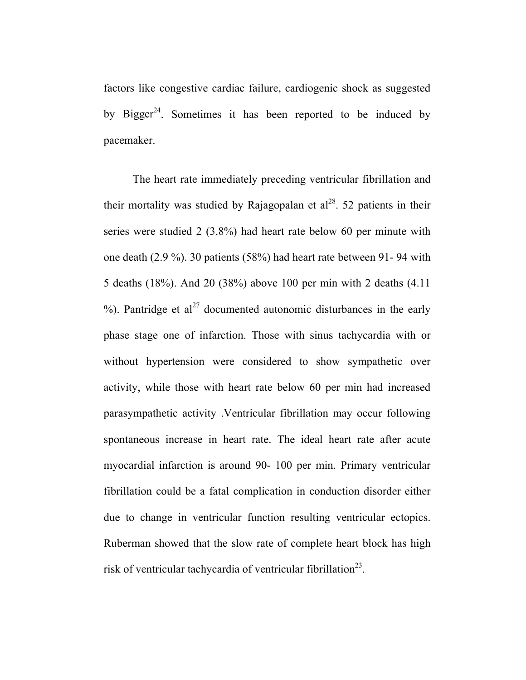factors like congestive cardiac failure, cardiogenic shock as suggested by Bigger<sup>24</sup>. Sometimes it has been reported to be induced by pacemaker.

 The heart rate immediately preceding ventricular fibrillation and their mortality was studied by Rajagopalan et  $al^{28}$ . 52 patients in their series were studied 2 (3.8%) had heart rate below 60 per minute with one death (2.9 %). 30 patients (58%) had heart rate between 91- 94 with 5 deaths (18%). And 20 (38%) above 100 per min with 2 deaths (4.11 %). Pantridge et  $al^{27}$  documented autonomic disturbances in the early phase stage one of infarction. Those with sinus tachycardia with or without hypertension were considered to show sympathetic over activity, while those with heart rate below 60 per min had increased parasympathetic activity .Ventricular fibrillation may occur following spontaneous increase in heart rate. The ideal heart rate after acute myocardial infarction is around 90- 100 per min. Primary ventricular fibrillation could be a fatal complication in conduction disorder either due to change in ventricular function resulting ventricular ectopics. Ruberman showed that the slow rate of complete heart block has high risk of ventricular tachycardia of ventricular fibrillation<sup>23</sup>.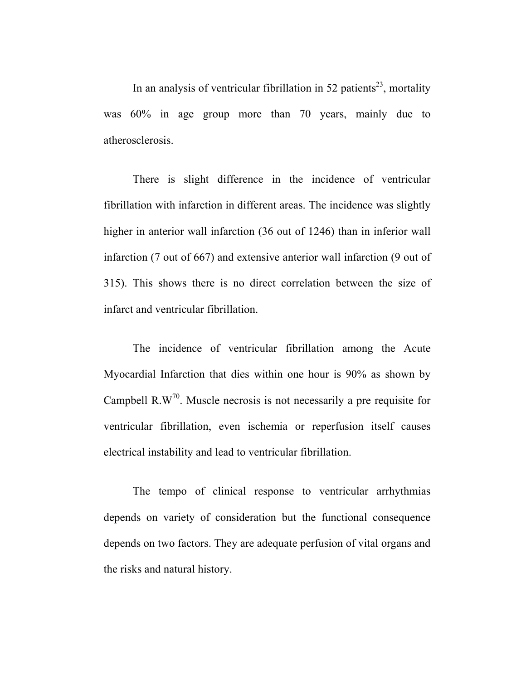In an analysis of ventricular fibrillation in 52 patients<sup>23</sup>, mortality was 60% in age group more than 70 years, mainly due to atherosclerosis.

 There is slight difference in the incidence of ventricular fibrillation with infarction in different areas. The incidence was slightly higher in anterior wall infarction (36 out of 1246) than in inferior wall infarction (7 out of 667) and extensive anterior wall infarction (9 out of 315). This shows there is no direct correlation between the size of infarct and ventricular fibrillation.

 The incidence of ventricular fibrillation among the Acute Myocardial Infarction that dies within one hour is 90% as shown by Campbell  $R.W<sup>70</sup>$ . Muscle necrosis is not necessarily a pre requisite for ventricular fibrillation, even ischemia or reperfusion itself causes electrical instability and lead to ventricular fibrillation.

 The tempo of clinical response to ventricular arrhythmias depends on variety of consideration but the functional consequence depends on two factors. They are adequate perfusion of vital organs and the risks and natural history.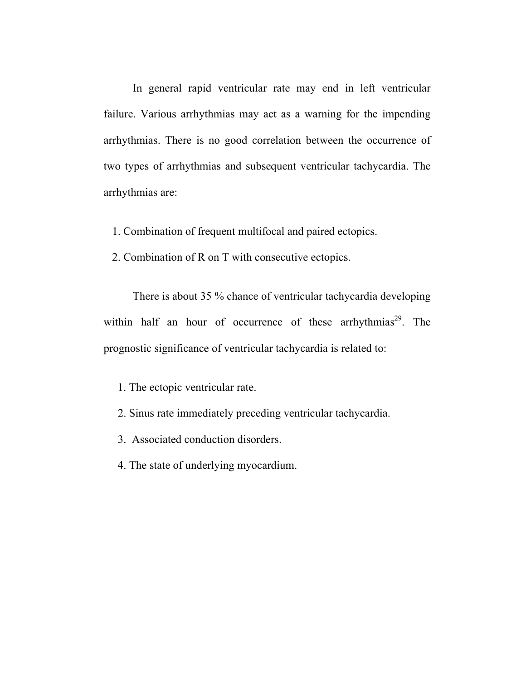In general rapid ventricular rate may end in left ventricular failure. Various arrhythmias may act as a warning for the impending arrhythmias. There is no good correlation between the occurrence of two types of arrhythmias and subsequent ventricular tachycardia. The arrhythmias are:

- 1. Combination of frequent multifocal and paired ectopics.
- 2. Combination of R on T with consecutive ectopics.

 There is about 35 % chance of ventricular tachycardia developing within half an hour of occurrence of these arrhythmias<sup>29</sup>. The prognostic significance of ventricular tachycardia is related to:

1. The ectopic ventricular rate.

- 2. Sinus rate immediately preceding ventricular tachycardia.
- 3. Associated conduction disorders.
- 4. The state of underlying myocardium.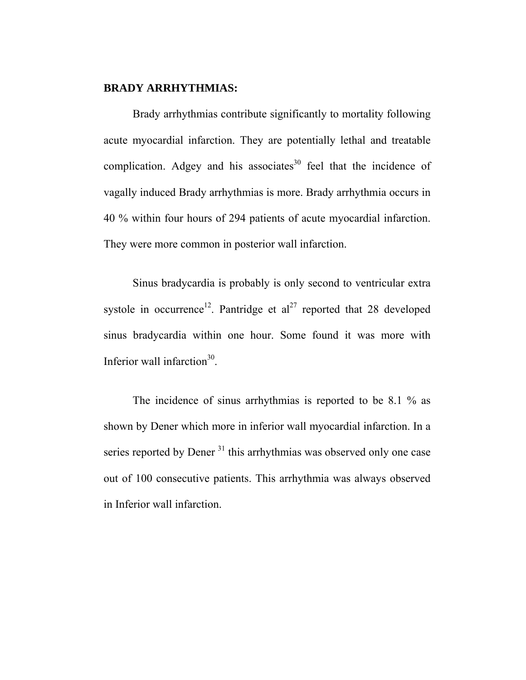#### **BRADY ARRHYTHMIAS:**

 Brady arrhythmias contribute significantly to mortality following acute myocardial infarction. They are potentially lethal and treatable complication. Adgey and his associates<sup>30</sup> feel that the incidence of vagally induced Brady arrhythmias is more. Brady arrhythmia occurs in 40 % within four hours of 294 patients of acute myocardial infarction. They were more common in posterior wall infarction.

 Sinus bradycardia is probably is only second to ventricular extra systole in occurrence<sup>12</sup>. Pantridge et al<sup>27</sup> reported that 28 developed sinus bradycardia within one hour. Some found it was more with Inferior wall infarction $30$ .

The incidence of sinus arrhythmias is reported to be 8.1 % as shown by Dener which more in inferior wall myocardial infarction. In a series reported by Dener<sup>31</sup> this arrhythmias was observed only one case out of 100 consecutive patients. This arrhythmia was always observed in Inferior wall infarction.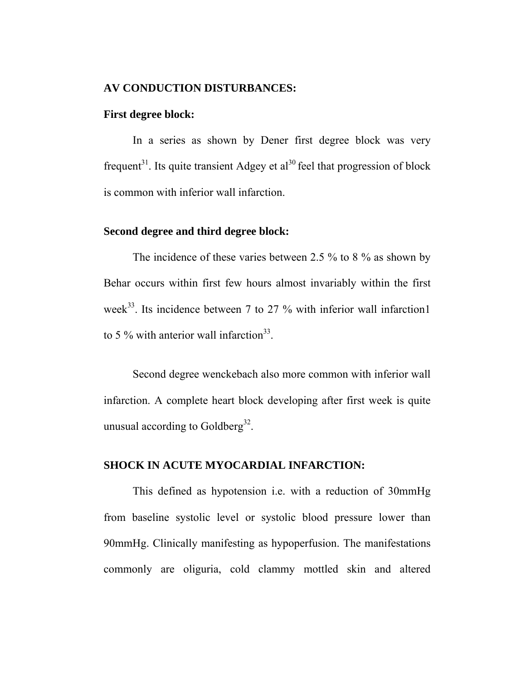#### **AV CONDUCTION DISTURBANCES:**

#### **First degree block:**

 In a series as shown by Dener first degree block was very frequent<sup>31</sup>. Its quite transient Adgey et al<sup>30</sup> feel that progression of block is common with inferior wall infarction.

#### **Second degree and third degree block:**

The incidence of these varies between 2.5 % to 8 % as shown by Behar occurs within first few hours almost invariably within the first week<sup>33</sup>. Its incidence between 7 to 27  $\%$  with inferior wall infarction1 to 5 % with anterior wall infarction<sup>33</sup>.

Second degree wenckebach also more common with inferior wall infarction. A complete heart block developing after first week is quite unusual according to Goldberg<sup>32</sup>.

#### **SHOCK IN ACUTE MYOCARDIAL INFARCTION:**

 This defined as hypotension i.e. with a reduction of 30mmHg from baseline systolic level or systolic blood pressure lower than 90mmHg. Clinically manifesting as hypoperfusion. The manifestations commonly are oliguria, cold clammy mottled skin and altered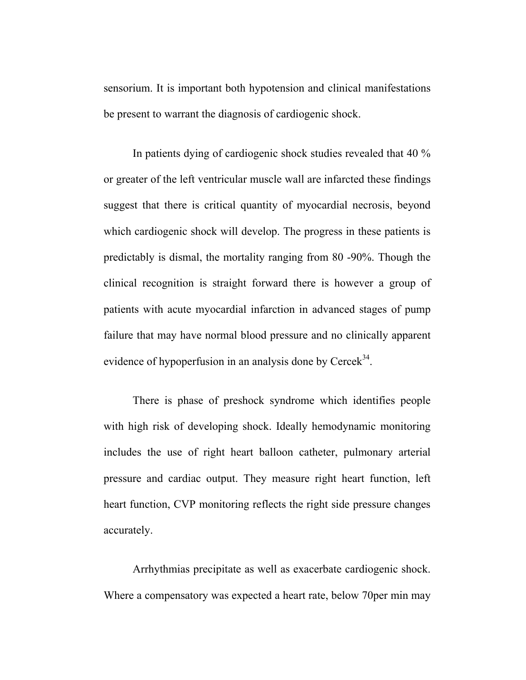sensorium. It is important both hypotension and clinical manifestations be present to warrant the diagnosis of cardiogenic shock.

 In patients dying of cardiogenic shock studies revealed that 40 % or greater of the left ventricular muscle wall are infarcted these findings suggest that there is critical quantity of myocardial necrosis, beyond which cardiogenic shock will develop. The progress in these patients is predictably is dismal, the mortality ranging from 80 -90%. Though the clinical recognition is straight forward there is however a group of patients with acute myocardial infarction in advanced stages of pump failure that may have normal blood pressure and no clinically apparent evidence of hypoperfusion in an analysis done by  $Cereek<sup>34</sup>$ .

 There is phase of preshock syndrome which identifies people with high risk of developing shock. Ideally hemodynamic monitoring includes the use of right heart balloon catheter, pulmonary arterial pressure and cardiac output. They measure right heart function, left heart function, CVP monitoring reflects the right side pressure changes accurately.

 Arrhythmias precipitate as well as exacerbate cardiogenic shock. Where a compensatory was expected a heart rate, below 70per min may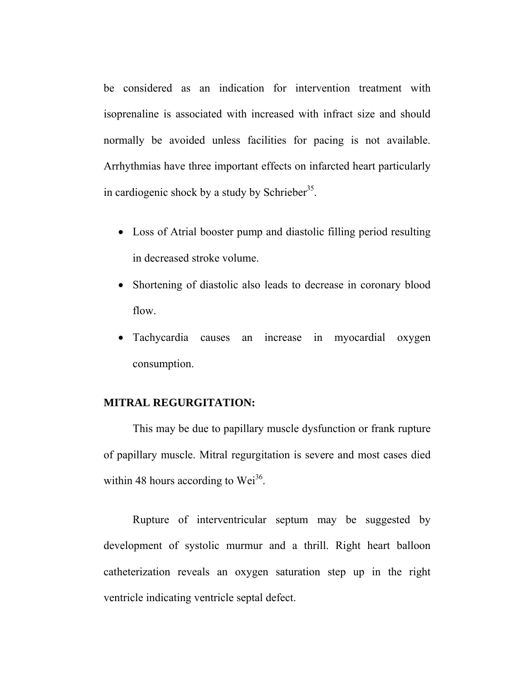be considered as an indication for intervention treatment with isoprenaline is associated with increased with infract size and should normally be avoided unless facilities for pacing is not available. Arrhythmias have three important effects on infarcted heart particularly in cardiogenic shock by a study by Schrieber<sup>35</sup>.

- Loss of Atrial booster pump and diastolic filling period resulting in decreased stroke volume.
- Shortening of diastolic also leads to decrease in coronary blood flow.
- Tachycardia causes an increase in myocardial oxygen consumption.

#### **MITRAL REGURGITATION:**

 This may be due to papillary muscle dysfunction or frank rupture of papillary muscle. Mitral regurgitation is severe and most cases died within 48 hours according to  $Wei^{36}$ .

 Rupture of interventricular septum may be suggested by development of systolic murmur and a thrill. Right heart balloon catheterization reveals an oxygen saturation step up in the right ventricle indicating ventricle septal defect.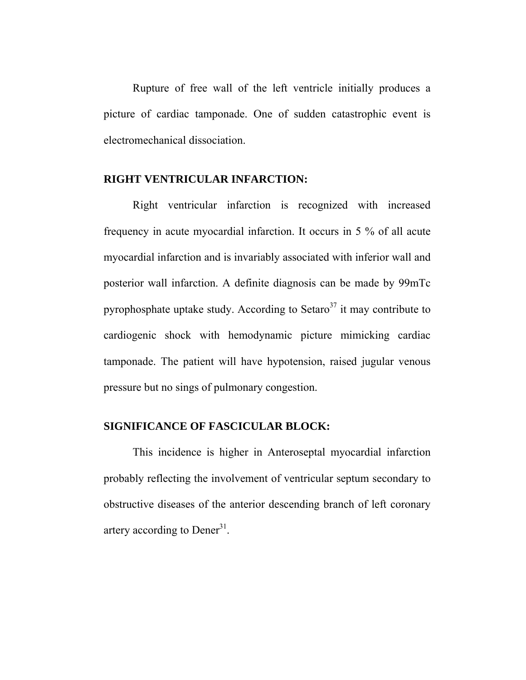Rupture of free wall of the left ventricle initially produces a picture of cardiac tamponade. One of sudden catastrophic event is electromechanical dissociation.

#### **RIGHT VENTRICULAR INFARCTION:**

 Right ventricular infarction is recognized with increased frequency in acute myocardial infarction. It occurs in 5 % of all acute myocardial infarction and is invariably associated with inferior wall and posterior wall infarction. A definite diagnosis can be made by 99mTc pyrophosphate uptake study. According to Setaro<sup>37</sup> it may contribute to cardiogenic shock with hemodynamic picture mimicking cardiac tamponade. The patient will have hypotension, raised jugular venous pressure but no sings of pulmonary congestion.

#### **SIGNIFICANCE OF FASCICULAR BLOCK:**

 This incidence is higher in Anteroseptal myocardial infarction probably reflecting the involvement of ventricular septum secondary to obstructive diseases of the anterior descending branch of left coronary artery according to Dener<sup>31</sup>.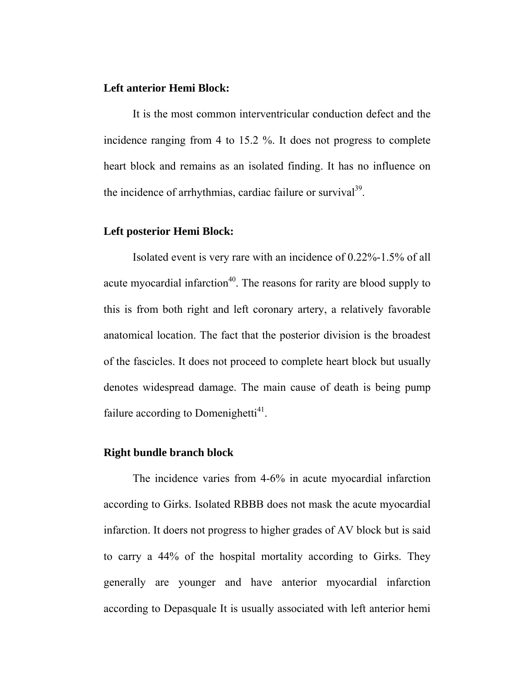#### **Left anterior Hemi Block:**

 It is the most common interventricular conduction defect and the incidence ranging from 4 to 15.2 %. It does not progress to complete heart block and remains as an isolated finding. It has no influence on the incidence of arrhythmias, cardiac failure or survival $^{39}$ .

#### **Left posterior Hemi Block:**

Isolated event is very rare with an incidence of 0.22%-1.5% of all acute myocardial infarction<sup>40</sup>. The reasons for rarity are blood supply to this is from both right and left coronary artery, a relatively favorable anatomical location. The fact that the posterior division is the broadest of the fascicles. It does not proceed to complete heart block but usually denotes widespread damage. The main cause of death is being pump failure according to Domenighetti $41$ .

#### **Right bundle branch block**

 The incidence varies from 4-6% in acute myocardial infarction according to Girks. Isolated RBBB does not mask the acute myocardial infarction. It doers not progress to higher grades of AV block but is said to carry a 44% of the hospital mortality according to Girks. They generally are younger and have anterior myocardial infarction according to Depasquale It is usually associated with left anterior hemi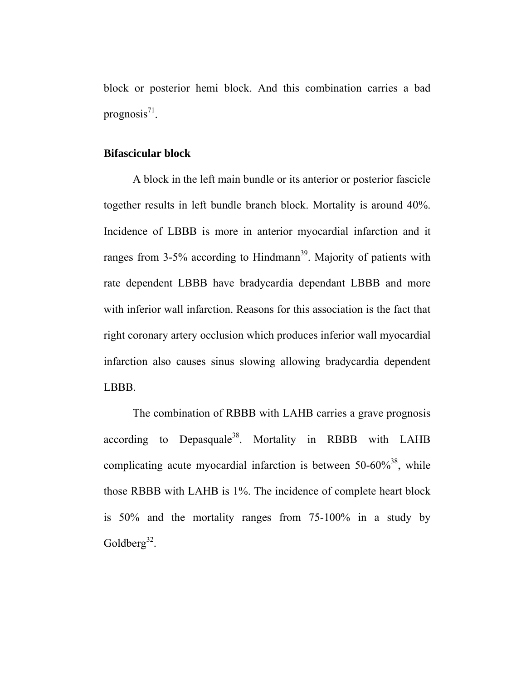block or posterior hemi block. And this combination carries a bad prognosis $^{71}$ .

#### **Bifascicular block**

 A block in the left main bundle or its anterior or posterior fascicle together results in left bundle branch block. Mortality is around 40%. Incidence of LBBB is more in anterior myocardial infarction and it ranges from  $3-5\%$  according to Hindmann<sup>39</sup>. Majority of patients with rate dependent LBBB have bradycardia dependant LBBB and more with inferior wall infarction. Reasons for this association is the fact that right coronary artery occlusion which produces inferior wall myocardial infarction also causes sinus slowing allowing bradycardia dependent LBBB.

 The combination of RBBB with LAHB carries a grave prognosis according to Depasquale<sup>38</sup>. Mortality in RBBB with LAHB complicating acute myocardial infarction is between  $50-60\%$ <sup>38</sup>, while those RBBB with LAHB is 1%. The incidence of complete heart block is 50% and the mortality ranges from 75-100% in a study by Goldberg<sup>32</sup>.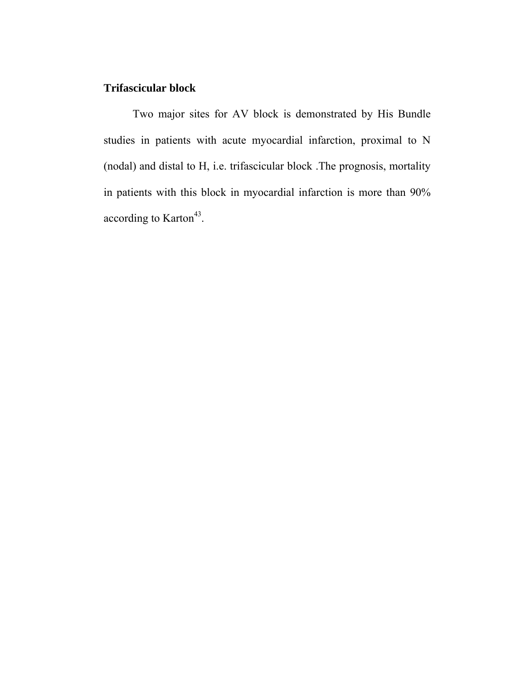#### **Trifascicular block**

 Two major sites for AV block is demonstrated by His Bundle studies in patients with acute myocardial infarction, proximal to N (nodal) and distal to H, i.e. trifascicular block .The prognosis, mortality in patients with this block in myocardial infarction is more than 90% according to Karton<sup>43</sup>.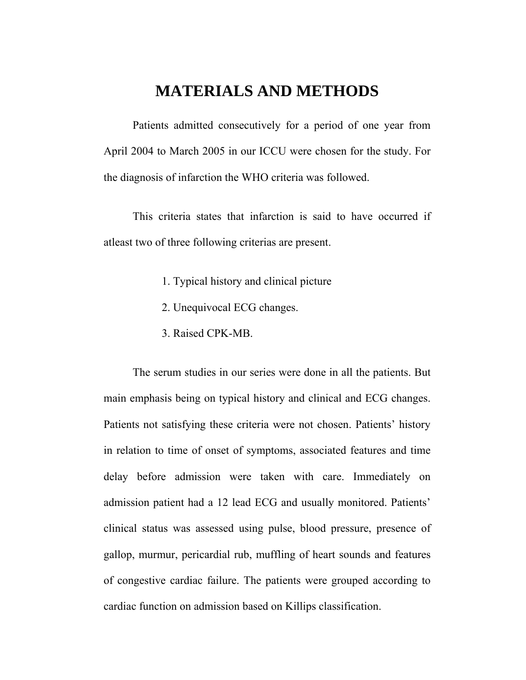## **MATERIALS AND METHODS**

Patients admitted consecutively for a period of one year from April 2004 to March 2005 in our ICCU were chosen for the study. For the diagnosis of infarction the WHO criteria was followed.

This criteria states that infarction is said to have occurred if atleast two of three following criterias are present.

- 1. Typical history and clinical picture
- 2. Unequivocal ECG changes.
- 3. Raised CPK-MB.

The serum studies in our series were done in all the patients. But main emphasis being on typical history and clinical and ECG changes. Patients not satisfying these criteria were not chosen. Patients' history in relation to time of onset of symptoms, associated features and time delay before admission were taken with care. Immediately on admission patient had a 12 lead ECG and usually monitored. Patients' clinical status was assessed using pulse, blood pressure, presence of gallop, murmur, pericardial rub, muffling of heart sounds and features of congestive cardiac failure. The patients were grouped according to cardiac function on admission based on Killips classification.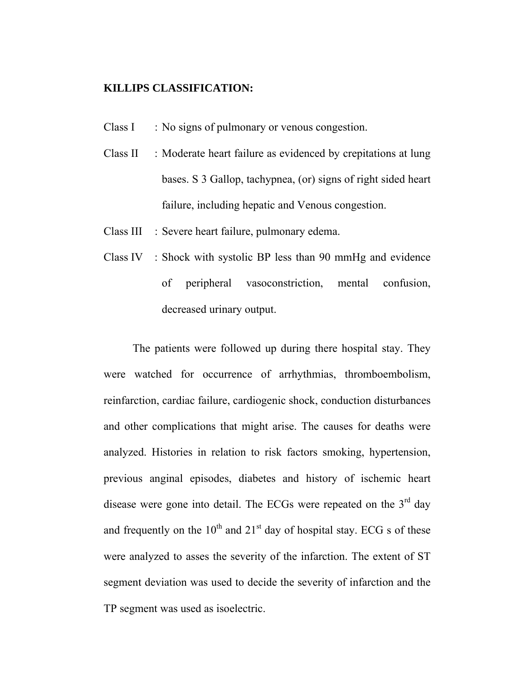#### **KILLIPS CLASSIFICATION:**

- Class I : No signs of pulmonary or venous congestion.
- Class II : Moderate heart failure as evidenced by crepitations at lung bases. S 3 Gallop, tachypnea, (or) signs of right sided heart failure, including hepatic and Venous congestion.
- Class III : Severe heart failure, pulmonary edema.
- Class IV : Shock with systolic BP less than 90 mmHg and evidence of peripheral vasoconstriction, mental confusion, decreased urinary output.

The patients were followed up during there hospital stay. They were watched for occurrence of arrhythmias, thromboembolism, reinfarction, cardiac failure, cardiogenic shock, conduction disturbances and other complications that might arise. The causes for deaths were analyzed. Histories in relation to risk factors smoking, hypertension, previous anginal episodes, diabetes and history of ischemic heart disease were gone into detail. The ECGs were repeated on the  $3<sup>rd</sup>$  day and frequently on the  $10^{th}$  and  $21^{st}$  day of hospital stay. ECG s of these were analyzed to asses the severity of the infarction. The extent of ST segment deviation was used to decide the severity of infarction and the TP segment was used as isoelectric.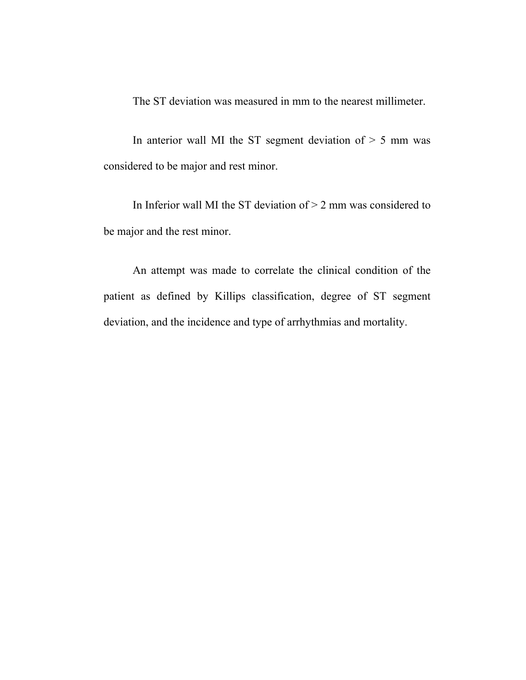The ST deviation was measured in mm to the nearest millimeter.

In anterior wall MI the ST segment deviation of  $> 5$  mm was considered to be major and rest minor.

In Inferior wall MI the ST deviation of  $> 2$  mm was considered to be major and the rest minor.

An attempt was made to correlate the clinical condition of the patient as defined by Killips classification, degree of ST segment deviation, and the incidence and type of arrhythmias and mortality.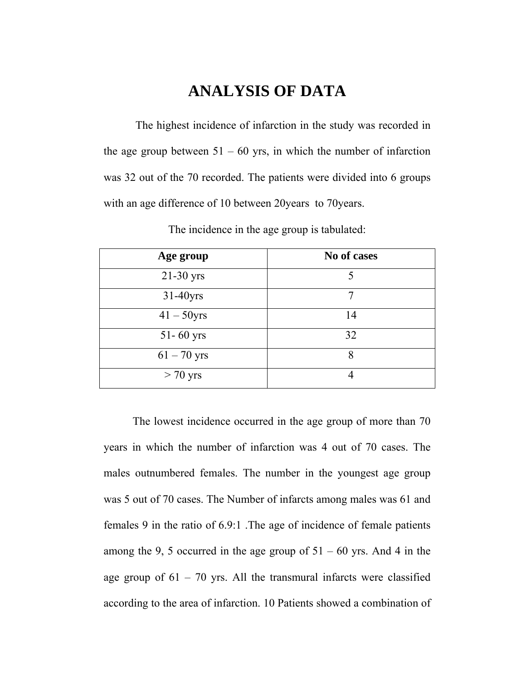# **ANALYSIS OF DATA**

 The highest incidence of infarction in the study was recorded in the age group between  $51 - 60$  yrs, in which the number of infarction was 32 out of the 70 recorded. The patients were divided into 6 groups with an age difference of 10 between 20years to 70years.

| Age group     | No of cases |
|---------------|-------------|
| $21-30$ yrs   | 5           |
| $31-40$ yrs   | 7           |
| $41 - 50$ yrs | 14          |
| $51 - 60$ yrs | 32          |
| $61 - 70$ yrs | 8           |
| $> 70$ yrs    |             |

The incidence in the age group is tabulated:

The lowest incidence occurred in the age group of more than 70 years in which the number of infarction was 4 out of 70 cases. The males outnumbered females. The number in the youngest age group was 5 out of 70 cases. The Number of infarcts among males was 61 and females 9 in the ratio of 6.9:1 .The age of incidence of female patients among the 9, 5 occurred in the age group of  $51 - 60$  yrs. And 4 in the age group of  $61 - 70$  yrs. All the transmural infarcts were classified according to the area of infarction. 10 Patients showed a combination of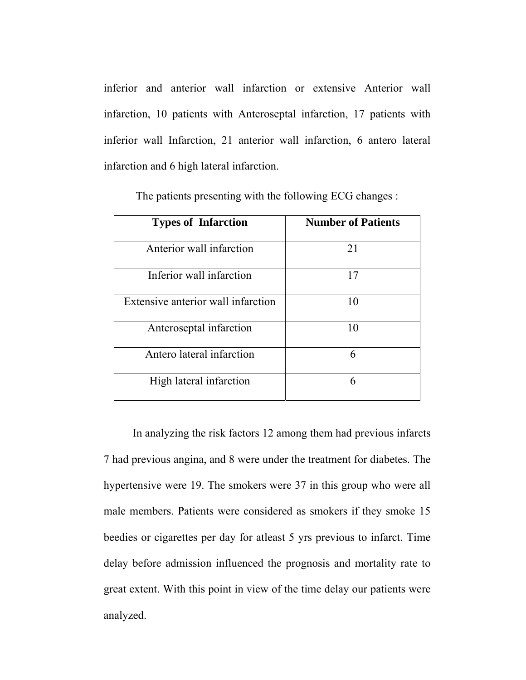inferior and anterior wall infarction or extensive Anterior wall infarction, 10 patients with Anteroseptal infarction, 17 patients with inferior wall Infarction, 21 anterior wall infarction, 6 antero lateral infarction and 6 high lateral infarction.

| <b>Types of Infarction</b>         | <b>Number of Patients</b> |  |  |
|------------------------------------|---------------------------|--|--|
| Anterior wall infarction           | 21                        |  |  |
| Inferior wall infarction           | 17                        |  |  |
| Extensive anterior wall infarction | 10                        |  |  |
| Anteroseptal infarction            | 10                        |  |  |
| Antero lateral infarction          | 6                         |  |  |
| High lateral infarction            | 6                         |  |  |

The patients presenting with the following ECG changes :

In analyzing the risk factors 12 among them had previous infarcts 7 had previous angina, and 8 were under the treatment for diabetes. The hypertensive were 19. The smokers were 37 in this group who were all male members. Patients were considered as smokers if they smoke 15 beedies or cigarettes per day for atleast 5 yrs previous to infarct. Time delay before admission influenced the prognosis and mortality rate to great extent. With this point in view of the time delay our patients were analyzed.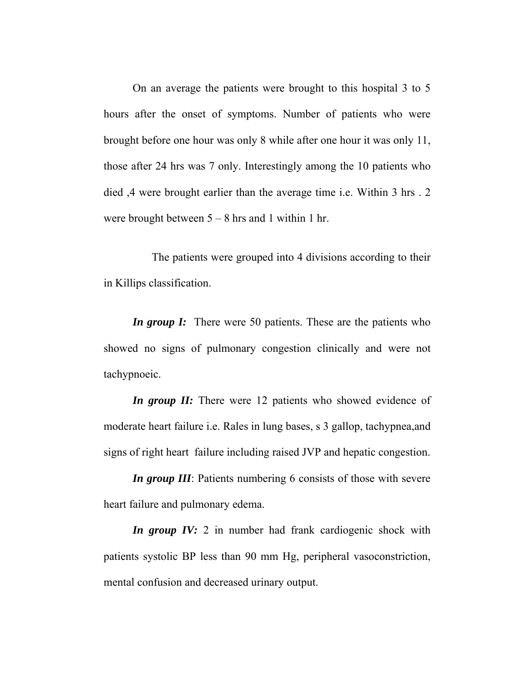On an average the patients were brought to this hospital 3 to 5 hours after the onset of symptoms. Number of patients who were brought before one hour was only 8 while after one hour it was only 11, those after 24 hrs was 7 only. Interestingly among the 10 patients who died ,4 were brought earlier than the average time i.e. Within 3 hrs . 2 were brought between  $5 - 8$  hrs and 1 within 1 hr.

 The patients were grouped into 4 divisions according to their in Killips classification.

*In group I:* There were 50 patients. These are the patients who showed no signs of pulmonary congestion clinically and were not tachypnoeic.

*In group II:* There were 12 patients who showed evidence of moderate heart failure i.e. Rales in lung bases, s 3 gallop, tachypnea,and signs of right heart failure including raised JVP and hepatic congestion.

*In group III*: Patients numbering 6 consists of those with severe heart failure and pulmonary edema.

*In group IV:* 2 in number had frank cardiogenic shock with patients systolic BP less than 90 mm Hg, peripheral vasoconstriction, mental confusion and decreased urinary output.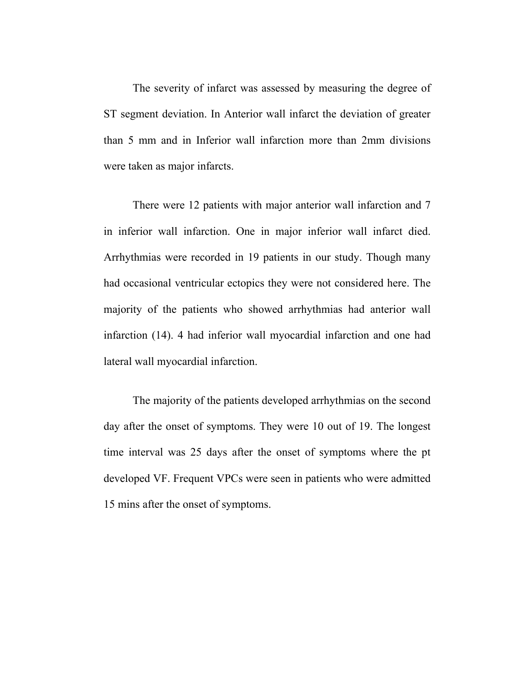The severity of infarct was assessed by measuring the degree of ST segment deviation. In Anterior wall infarct the deviation of greater than 5 mm and in Inferior wall infarction more than 2mm divisions were taken as major infarcts.

There were 12 patients with major anterior wall infarction and 7 in inferior wall infarction. One in major inferior wall infarct died. Arrhythmias were recorded in 19 patients in our study. Though many had occasional ventricular ectopics they were not considered here. The majority of the patients who showed arrhythmias had anterior wall infarction (14). 4 had inferior wall myocardial infarction and one had lateral wall myocardial infarction.

The majority of the patients developed arrhythmias on the second day after the onset of symptoms. They were 10 out of 19. The longest time interval was 25 days after the onset of symptoms where the pt developed VF. Frequent VPCs were seen in patients who were admitted 15 mins after the onset of symptoms.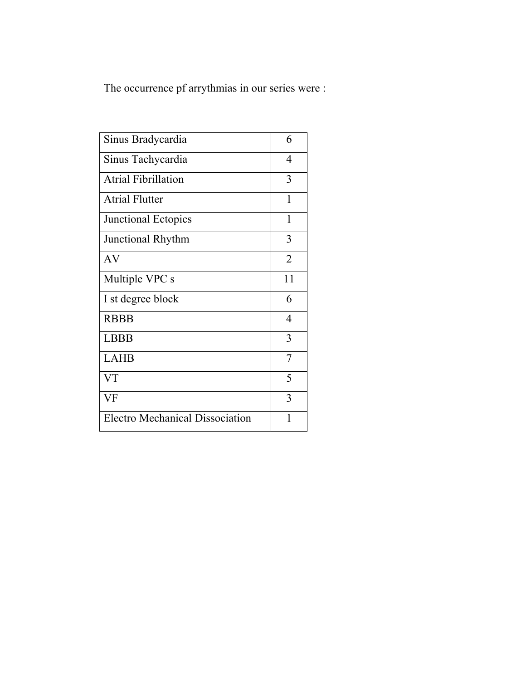The occurrence pf arrythmias in our series were :

| Sinus Bradycardia                      | 6              |
|----------------------------------------|----------------|
|                                        |                |
| Sinus Tachycardia                      | $\overline{4}$ |
| <b>Atrial Fibrillation</b>             | 3              |
| <b>Atrial Flutter</b>                  | 1              |
| Junctional Ectopics                    | $\mathbf{1}$   |
| <b>Junctional Rhythm</b>               | 3              |
| AV                                     | $\overline{2}$ |
| Multiple VPC s                         | 11             |
| I st degree block                      | 6              |
| <b>RBBB</b>                            | $\overline{4}$ |
| <b>LBBB</b>                            | 3              |
| <b>LAHB</b>                            | $\overline{7}$ |
| <b>VT</b>                              | 5              |
| VF                                     | 3              |
| <b>Electro Mechanical Dissociation</b> | 1              |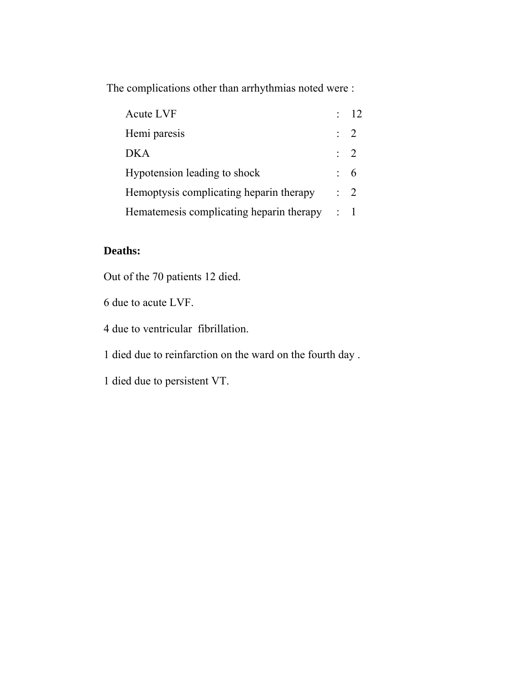The complications other than arrhythmias noted were :

| Acute LVF                                | $\therefore$ 12 |
|------------------------------------------|-----------------|
| Hemi paresis                             | $\therefore$ 2  |
| <b>DKA</b>                               | $\therefore$ 2  |
| Hypotension leading to shock             | $6 \div 6$      |
| Hemoptysis complicating heparin therapy  | $\therefore$ 2  |
| Hematemesis complicating heparin therapy | $\therefore$ 1  |

## **Deaths:**

Out of the 70 patients 12 died.

6 due to acute LVF.

4 due to ventricular fibrillation.

1 died due to reinfarction on the ward on the fourth day .

1 died due to persistent VT.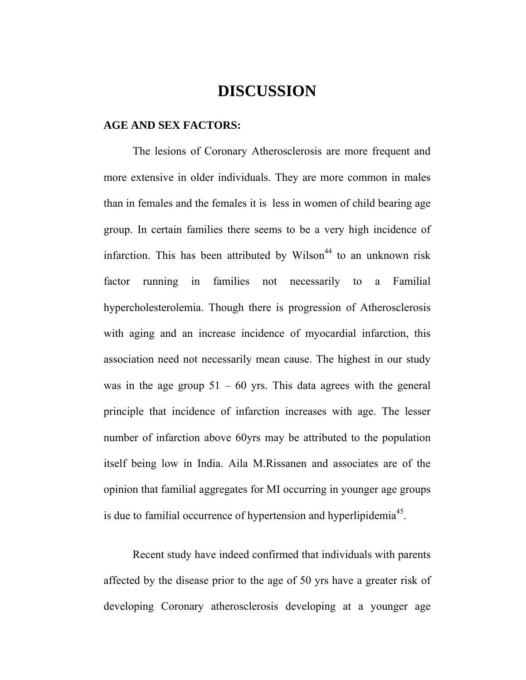## **DISCUSSION**

#### **AGE AND SEX FACTORS:**

The lesions of Coronary Atherosclerosis are more frequent and more extensive in older individuals. They are more common in males than in females and the females it is less in women of child bearing age group. In certain families there seems to be a very high incidence of infarction. This has been attributed by Wilson<sup>44</sup> to an unknown risk factor running in families not necessarily to a Familial hypercholesterolemia. Though there is progression of Atherosclerosis with aging and an increase incidence of myocardial infarction, this association need not necessarily mean cause. The highest in our study was in the age group  $51 - 60$  yrs. This data agrees with the general principle that incidence of infarction increases with age. The lesser number of infarction above 60yrs may be attributed to the population itself being low in India. Aila M.Rissanen and associates are of the opinion that familial aggregates for MI occurring in younger age groups is due to familial occurrence of hypertension and hyperlipidemia<sup>45</sup>.

Recent study have indeed confirmed that individuals with parents affected by the disease prior to the age of 50 yrs have a greater risk of developing Coronary atherosclerosis developing at a younger age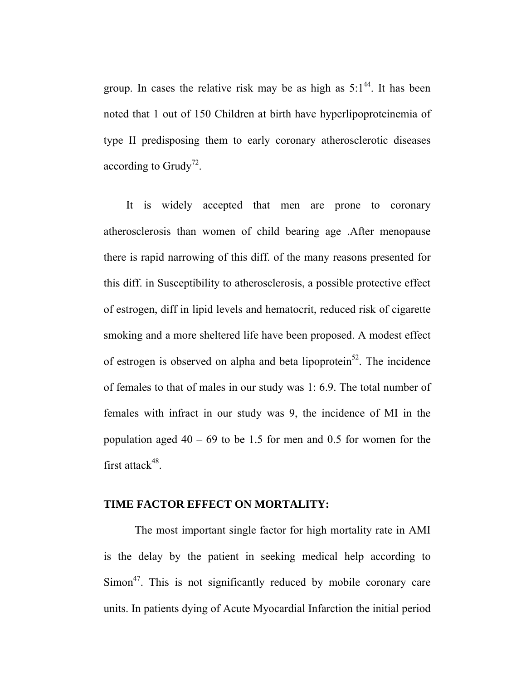group. In cases the relative risk may be as high as  $5:1^{44}$ . It has been noted that 1 out of 150 Children at birth have hyperlipoproteinemia of type II predisposing them to early coronary atherosclerotic diseases according to Grudy<sup>72</sup>.

 It is widely accepted that men are prone to coronary atherosclerosis than women of child bearing age .After menopause there is rapid narrowing of this diff. of the many reasons presented for this diff. in Susceptibility to atherosclerosis, a possible protective effect of estrogen, diff in lipid levels and hematocrit, reduced risk of cigarette smoking and a more sheltered life have been proposed. A modest effect of estrogen is observed on alpha and beta lipoprotein<sup>52</sup>. The incidence of females to that of males in our study was 1: 6.9. The total number of females with infract in our study was 9, the incidence of MI in the population aged  $40 - 69$  to be 1.5 for men and 0.5 for women for the first attack $48$ .

### **TIME FACTOR EFFECT ON MORTALITY:**

 The most important single factor for high mortality rate in AMI is the delay by the patient in seeking medical help according to  $Simon<sup>47</sup>$ . This is not significantly reduced by mobile coronary care units. In patients dying of Acute Myocardial Infarction the initial period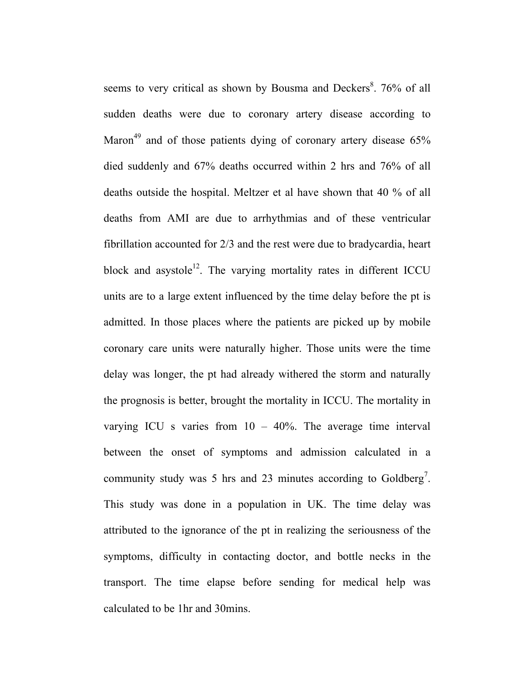seems to very critical as shown by Bousma and Deckers<sup>8</sup>. 76% of all sudden deaths were due to coronary artery disease according to Maron<sup>49</sup> and of those patients dying of coronary artery disease  $65\%$ died suddenly and 67% deaths occurred within 2 hrs and 76% of all deaths outside the hospital. Meltzer et al have shown that 40 % of all deaths from AMI are due to arrhythmias and of these ventricular fibrillation accounted for 2/3 and the rest were due to bradycardia, heart block and asystole<sup>12</sup>. The varying mortality rates in different ICCU units are to a large extent influenced by the time delay before the pt is admitted. In those places where the patients are picked up by mobile coronary care units were naturally higher. Those units were the time delay was longer, the pt had already withered the storm and naturally the prognosis is better, brought the mortality in ICCU. The mortality in varying ICU s varies from  $10 - 40\%$ . The average time interval between the onset of symptoms and admission calculated in a community study was 5 hrs and 23 minutes according to Goldberg<sup>7</sup>. This study was done in a population in UK. The time delay was attributed to the ignorance of the pt in realizing the seriousness of the symptoms, difficulty in contacting doctor, and bottle necks in the transport. The time elapse before sending for medical help was calculated to be 1hr and 30mins.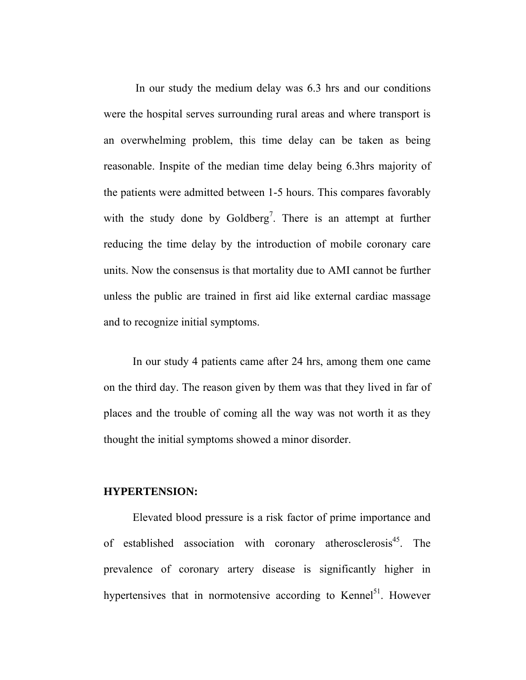In our study the medium delay was 6.3 hrs and our conditions were the hospital serves surrounding rural areas and where transport is an overwhelming problem, this time delay can be taken as being reasonable. Inspite of the median time delay being 6.3hrs majority of the patients were admitted between 1-5 hours. This compares favorably with the study done by Goldberg<sup>7</sup>. There is an attempt at further reducing the time delay by the introduction of mobile coronary care units. Now the consensus is that mortality due to AMI cannot be further unless the public are trained in first aid like external cardiac massage and to recognize initial symptoms.

In our study 4 patients came after 24 hrs, among them one came on the third day. The reason given by them was that they lived in far of places and the trouble of coming all the way was not worth it as they thought the initial symptoms showed a minor disorder.

#### **HYPERTENSION:**

Elevated blood pressure is a risk factor of prime importance and of established association with coronary atherosclerosis<sup>45</sup>. The prevalence of coronary artery disease is significantly higher in hypertensives that in normotensive according to Kennel<sup>51</sup>. However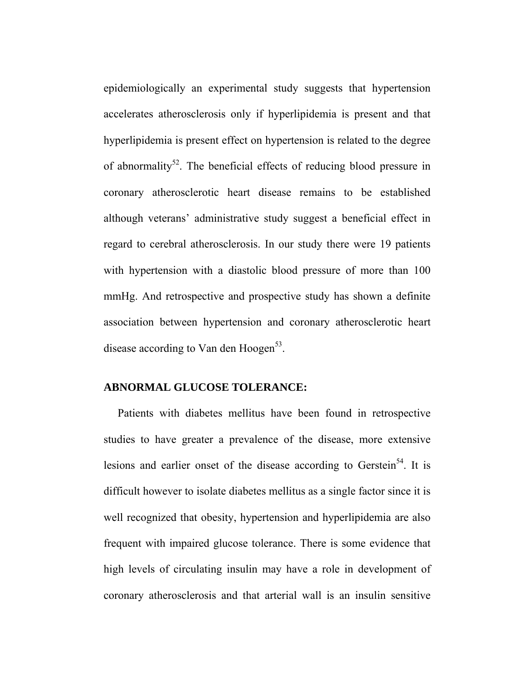epidemiologically an experimental study suggests that hypertension accelerates atherosclerosis only if hyperlipidemia is present and that hyperlipidemia is present effect on hypertension is related to the degree of abnormality<sup>52</sup>. The beneficial effects of reducing blood pressure in coronary atherosclerotic heart disease remains to be established although veterans' administrative study suggest a beneficial effect in regard to cerebral atherosclerosis. In our study there were 19 patients with hypertension with a diastolic blood pressure of more than 100 mmHg. And retrospective and prospective study has shown a definite association between hypertension and coronary atherosclerotic heart disease according to Van den Hoogen $<sup>53</sup>$ .</sup>

## **ABNORMAL GLUCOSE TOLERANCE:**

 Patients with diabetes mellitus have been found in retrospective studies to have greater a prevalence of the disease, more extensive lesions and earlier onset of the disease according to Gerstein<sup>54</sup>. It is difficult however to isolate diabetes mellitus as a single factor since it is well recognized that obesity, hypertension and hyperlipidemia are also frequent with impaired glucose tolerance. There is some evidence that high levels of circulating insulin may have a role in development of coronary atherosclerosis and that arterial wall is an insulin sensitive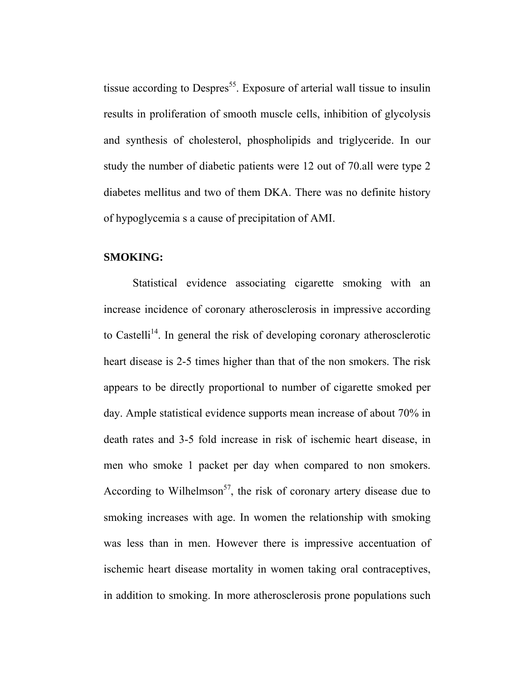tissue according to Despres<sup>55</sup>. Exposure of arterial wall tissue to insulin results in proliferation of smooth muscle cells, inhibition of glycolysis and synthesis of cholesterol, phospholipids and triglyceride. In our study the number of diabetic patients were 12 out of 70.all were type 2 diabetes mellitus and two of them DKA. There was no definite history of hypoglycemia s a cause of precipitation of AMI.

#### **SMOKING:**

Statistical evidence associating cigarette smoking with an increase incidence of coronary atherosclerosis in impressive according to Castelli<sup>14</sup>. In general the risk of developing coronary atherosclerotic heart disease is 2-5 times higher than that of the non smokers. The risk appears to be directly proportional to number of cigarette smoked per day. Ample statistical evidence supports mean increase of about 70% in death rates and 3-5 fold increase in risk of ischemic heart disease, in men who smoke 1 packet per day when compared to non smokers. According to Wilhelmson<sup>57</sup>, the risk of coronary artery disease due to smoking increases with age. In women the relationship with smoking was less than in men. However there is impressive accentuation of ischemic heart disease mortality in women taking oral contraceptives, in addition to smoking. In more atherosclerosis prone populations such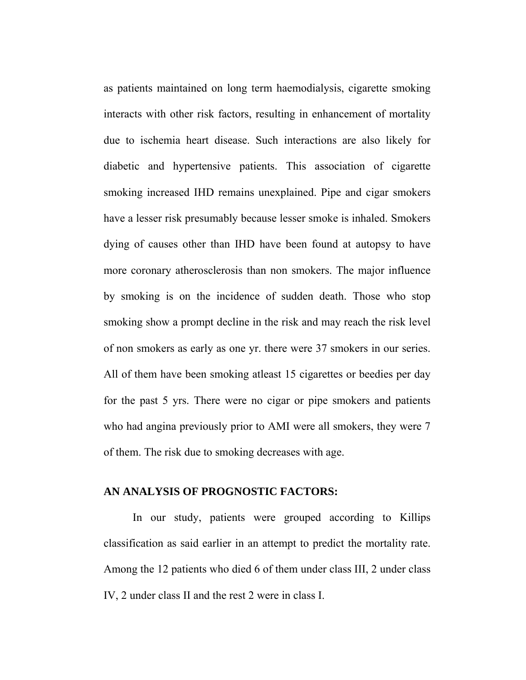as patients maintained on long term haemodialysis, cigarette smoking interacts with other risk factors, resulting in enhancement of mortality due to ischemia heart disease. Such interactions are also likely for diabetic and hypertensive patients. This association of cigarette smoking increased IHD remains unexplained. Pipe and cigar smokers have a lesser risk presumably because lesser smoke is inhaled. Smokers dying of causes other than IHD have been found at autopsy to have more coronary atherosclerosis than non smokers. The major influence by smoking is on the incidence of sudden death. Those who stop smoking show a prompt decline in the risk and may reach the risk level of non smokers as early as one yr. there were 37 smokers in our series. All of them have been smoking atleast 15 cigarettes or beedies per day for the past 5 yrs. There were no cigar or pipe smokers and patients who had angina previously prior to AMI were all smokers, they were 7 of them. The risk due to smoking decreases with age.

### **AN ANALYSIS OF PROGNOSTIC FACTORS:**

In our study, patients were grouped according to Killips classification as said earlier in an attempt to predict the mortality rate. Among the 12 patients who died 6 of them under class III, 2 under class IV, 2 under class II and the rest 2 were in class I.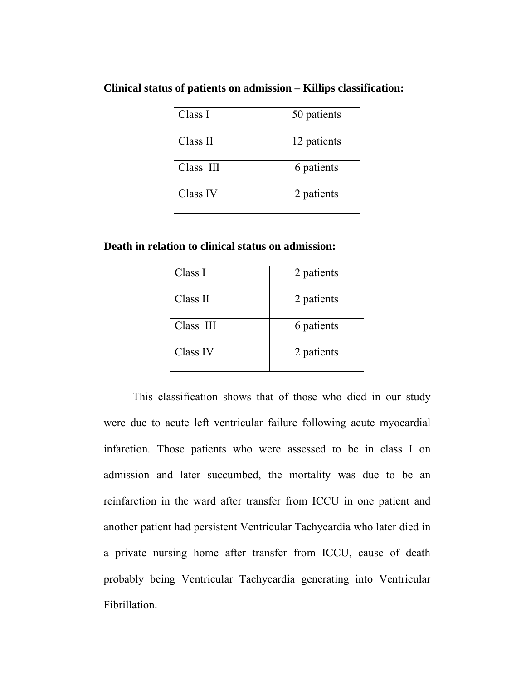## **Clinical status of patients on admission – Killips classification:**

| Class I   | 50 patients |
|-----------|-------------|
| Class II  | 12 patients |
| Class III | 6 patients  |
| Class IV  | 2 patients  |

## **Death in relation to clinical status on admission:**

| Class I   | 2 patients |
|-----------|------------|
| Class II  | 2 patients |
| Class III | 6 patients |
| Class IV  | 2 patients |

This classification shows that of those who died in our study were due to acute left ventricular failure following acute myocardial infarction. Those patients who were assessed to be in class I on admission and later succumbed, the mortality was due to be an reinfarction in the ward after transfer from ICCU in one patient and another patient had persistent Ventricular Tachycardia who later died in a private nursing home after transfer from ICCU, cause of death probably being Ventricular Tachycardia generating into Ventricular Fibrillation.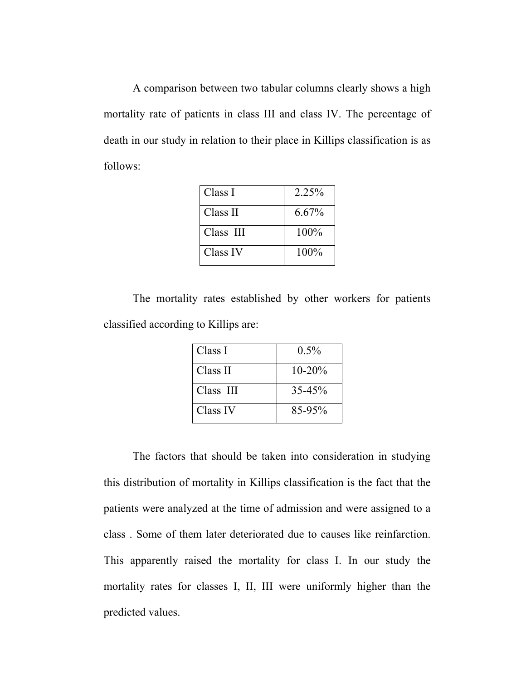A comparison between two tabular columns clearly shows a high mortality rate of patients in class III and class IV. The percentage of death in our study in relation to their place in Killips classification is as follows:

| Class I   | 2.25%   |
|-----------|---------|
| Class II  | 6.67%   |
| Class III | $100\%$ |
| Class IV  | $100\%$ |

The mortality rates established by other workers for patients classified according to Killips are:

| Class I   | $0.5\%$     |
|-----------|-------------|
| Class II  | $10 - 20\%$ |
| Class III | $35 - 45%$  |
| Class IV  | 85-95%      |

The factors that should be taken into consideration in studying this distribution of mortality in Killips classification is the fact that the patients were analyzed at the time of admission and were assigned to a class . Some of them later deteriorated due to causes like reinfarction. This apparently raised the mortality for class I. In our study the mortality rates for classes I, II, III were uniformly higher than the predicted values.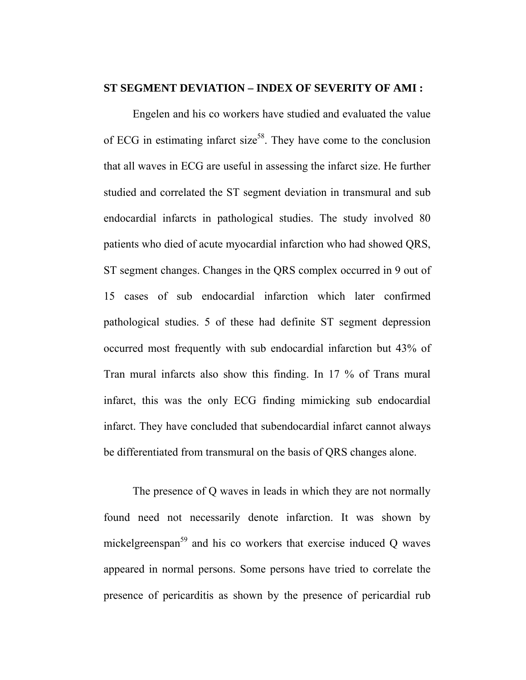#### **ST SEGMENT DEVIATION – INDEX OF SEVERITY OF AMI :**

Engelen and his co workers have studied and evaluated the value of ECG in estimating infarct size<sup>58</sup>. They have come to the conclusion that all waves in ECG are useful in assessing the infarct size. He further studied and correlated the ST segment deviation in transmural and sub endocardial infarcts in pathological studies. The study involved 80 patients who died of acute myocardial infarction who had showed QRS, ST segment changes. Changes in the QRS complex occurred in 9 out of 15 cases of sub endocardial infarction which later confirmed pathological studies. 5 of these had definite ST segment depression occurred most frequently with sub endocardial infarction but 43% of Tran mural infarcts also show this finding. In 17 % of Trans mural infarct, this was the only ECG finding mimicking sub endocardial infarct. They have concluded that subendocardial infarct cannot always be differentiated from transmural on the basis of QRS changes alone.

The presence of Q waves in leads in which they are not normally found need not necessarily denote infarction. It was shown by mickelgreenspan<sup>59</sup> and his co workers that exercise induced O waves appeared in normal persons. Some persons have tried to correlate the presence of pericarditis as shown by the presence of pericardial rub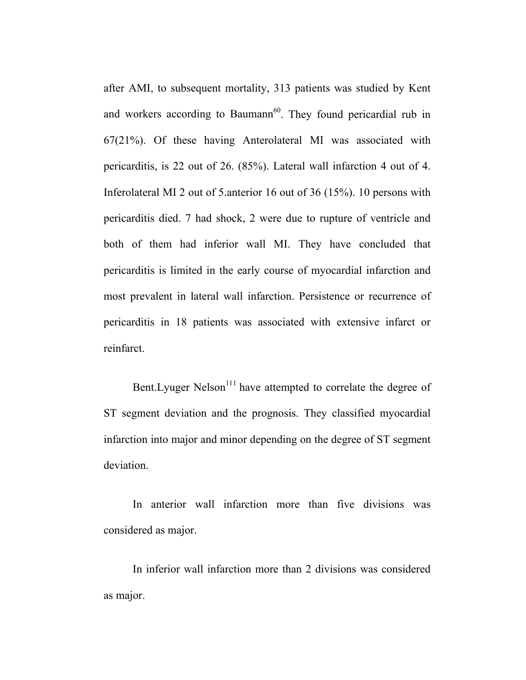after AMI, to subsequent mortality, 313 patients was studied by Kent and workers according to Baumann<sup>60</sup>. They found pericardial rub in 67(21%). Of these having Anterolateral MI was associated with pericarditis, is 22 out of 26. (85%). Lateral wall infarction 4 out of 4. Inferolateral MI 2 out of 5.anterior 16 out of 36 (15%). 10 persons with pericarditis died. 7 had shock, 2 were due to rupture of ventricle and both of them had inferior wall MI. They have concluded that pericarditis is limited in the early course of myocardial infarction and most prevalent in lateral wall infarction. Persistence or recurrence of pericarditis in 18 patients was associated with extensive infarct or reinfarct.

Bent. Lyuger Nelson<sup>111</sup> have attempted to correlate the degree of ST segment deviation and the prognosis. They classified myocardial infarction into major and minor depending on the degree of ST segment deviation.

In anterior wall infarction more than five divisions was considered as major.

In inferior wall infarction more than 2 divisions was considered as major.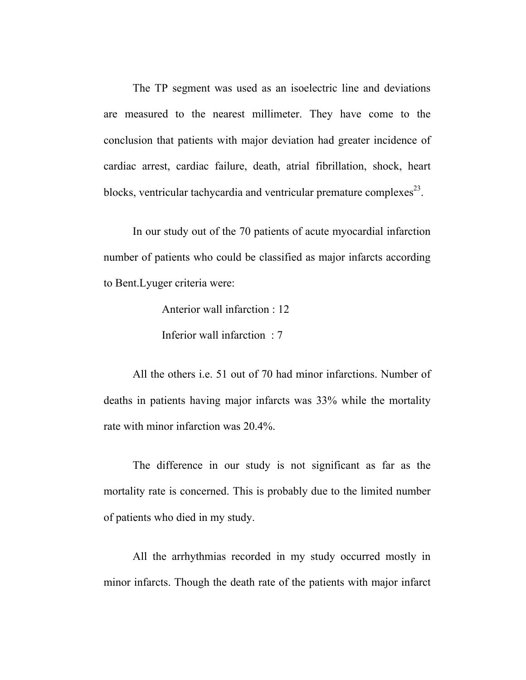The TP segment was used as an isoelectric line and deviations are measured to the nearest millimeter. They have come to the conclusion that patients with major deviation had greater incidence of cardiac arrest, cardiac failure, death, atrial fibrillation, shock, heart blocks, ventricular tachycardia and ventricular premature complexes $^{23}$ .

In our study out of the 70 patients of acute myocardial infarction number of patients who could be classified as major infarcts according to Bent.Lyuger criteria were:

Anterior wall infarction : 12

Inferior wall infarction : 7

All the others i.e. 51 out of 70 had minor infarctions. Number of deaths in patients having major infarcts was 33% while the mortality rate with minor infarction was 20.4%.

The difference in our study is not significant as far as the mortality rate is concerned. This is probably due to the limited number of patients who died in my study.

All the arrhythmias recorded in my study occurred mostly in minor infarcts. Though the death rate of the patients with major infarct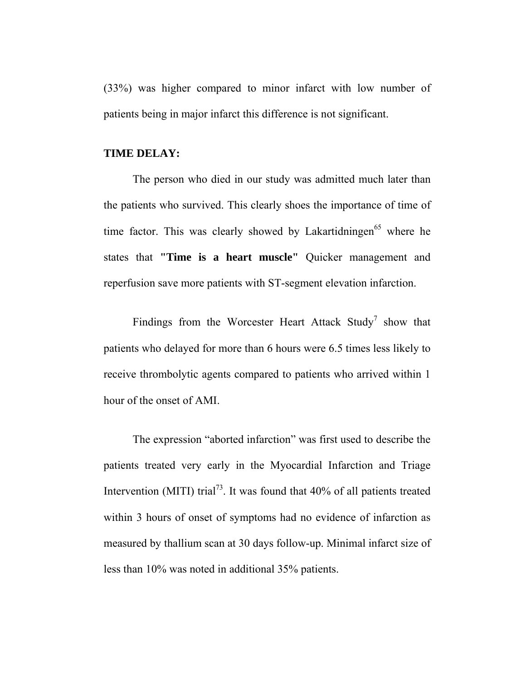(33%) was higher compared to minor infarct with low number of patients being in major infarct this difference is not significant.

### **TIME DELAY:**

The person who died in our study was admitted much later than the patients who survived. This clearly shoes the importance of time of time factor. This was clearly showed by Lakartidningen<sup>65</sup> where he states that **"Time is a heart muscle"** Quicker management and reperfusion save more patients with ST-segment elevation infarction.

Findings from the Worcester Heart Attack Study<sup>7</sup> show that patients who delayed for more than 6 hours were 6.5 times less likely to receive thrombolytic agents compared to patients who arrived within 1 hour of the onset of AMI.

The expression "aborted infarction" was first used to describe the patients treated very early in the Myocardial Infarction and Triage Intervention (MITI) trial<sup>73</sup>. It was found that  $40\%$  of all patients treated within 3 hours of onset of symptoms had no evidence of infarction as measured by thallium scan at 30 days follow-up. Minimal infarct size of less than 10% was noted in additional 35% patients.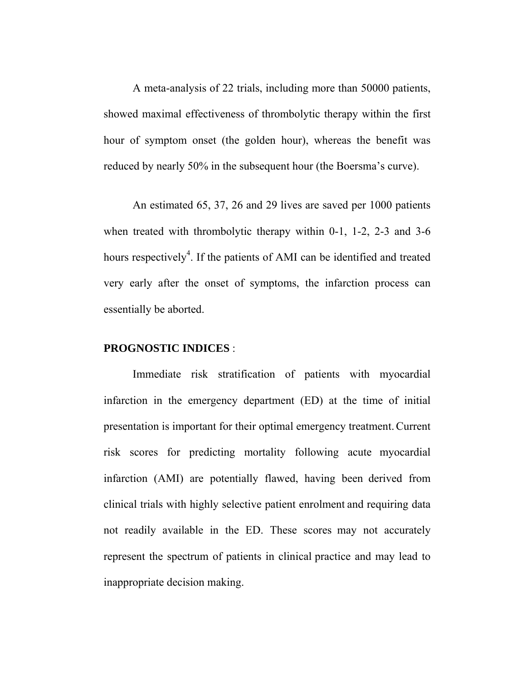A meta-analysis of 22 trials, including more than 50000 patients, showed maximal effectiveness of thrombolytic therapy within the first hour of symptom onset (the golden hour), whereas the benefit was reduced by nearly 50% in the subsequent hour (the Boersma's curve).

An estimated 65, 37, 26 and 29 lives are saved per 1000 patients when treated with thrombolytic therapy within 0-1, 1-2, 2-3 and 3-6 hours respectively<sup>4</sup>. If the patients of AMI can be identified and treated very early after the onset of symptoms, the infarction process can essentially be aborted.

#### **PROGNOSTIC INDICES** :

Immediate risk stratification of patients with myocardial infarction in the emergency department (ED) at the time of initial presentation is important for their optimal emergency treatment.Current risk scores for predicting mortality following acute myocardial infarction (AMI) are potentially flawed, having been derived from clinical trials with highly selective patient enrolment and requiring data not readily available in the ED. These scores may not accurately represent the spectrum of patients in clinical practice and may lead to inappropriate decision making.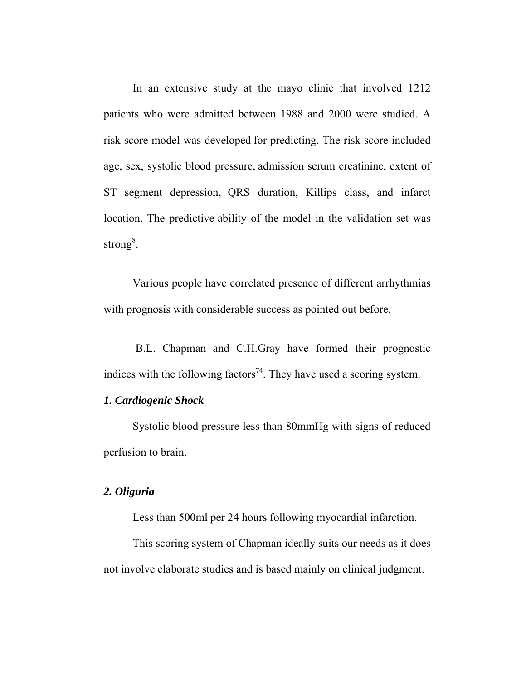In an extensive study at the mayo clinic that involved 1212 patients who were admitted between 1988 and 2000 were studied. A risk score model was developed for predicting. The risk score included age, sex, systolic blood pressure, admission serum creatinine, extent of ST segment depression, QRS duration, Killips class, and infarct location. The predictive ability of the model in the validation set was strong<sup>8</sup>.

 Various people have correlated presence of different arrhythmias with prognosis with considerable success as pointed out before.

 B.L. Chapman and C.H.Gray have formed their prognostic indices with the following factors<sup>74</sup>. They have used a scoring system.

## *1. Cardiogenic Shock*

Systolic blood pressure less than 80mmHg with signs of reduced perfusion to brain.

## *2. Oliguria*

Less than 500ml per 24 hours following myocardial infarction.

 This scoring system of Chapman ideally suits our needs as it does not involve elaborate studies and is based mainly on clinical judgment.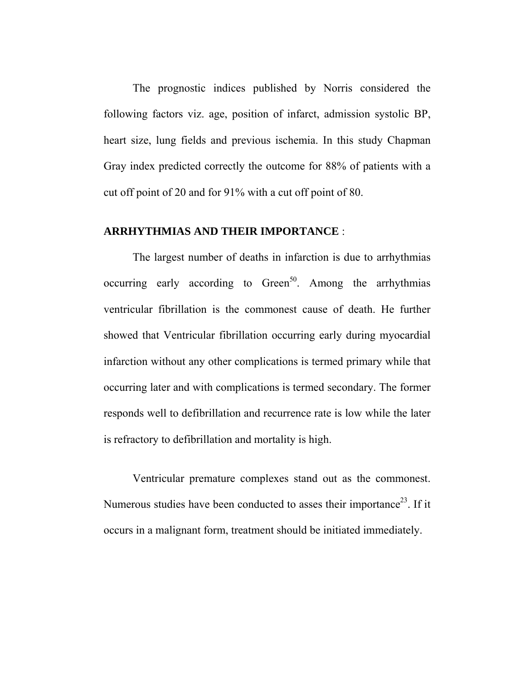The prognostic indices published by Norris considered the following factors viz. age, position of infarct, admission systolic BP, heart size, lung fields and previous ischemia. In this study Chapman Gray index predicted correctly the outcome for 88% of patients with a cut off point of 20 and for 91% with a cut off point of 80.

## **ARRHYTHMIAS AND THEIR IMPORTANCE** :

The largest number of deaths in infarction is due to arrhythmias occurring early according to Green<sup>50</sup>. Among the arrhythmias ventricular fibrillation is the commonest cause of death. He further showed that Ventricular fibrillation occurring early during myocardial infarction without any other complications is termed primary while that occurring later and with complications is termed secondary. The former responds well to defibrillation and recurrence rate is low while the later is refractory to defibrillation and mortality is high.

Ventricular premature complexes stand out as the commonest. Numerous studies have been conducted to asses their importance<sup>23</sup>. If it occurs in a malignant form, treatment should be initiated immediately.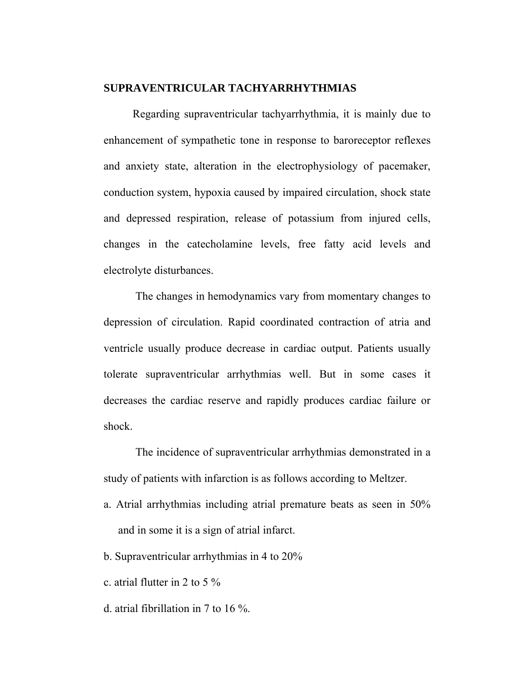## **SUPRAVENTRICULAR TACHYARRHYTHMIAS**

Regarding supraventricular tachyarrhythmia, it is mainly due to enhancement of sympathetic tone in response to baroreceptor reflexes and anxiety state, alteration in the electrophysiology of pacemaker, conduction system, hypoxia caused by impaired circulation, shock state and depressed respiration, release of potassium from injured cells, changes in the catecholamine levels, free fatty acid levels and electrolyte disturbances.

 The changes in hemodynamics vary from momentary changes to depression of circulation. Rapid coordinated contraction of atria and ventricle usually produce decrease in cardiac output. Patients usually tolerate supraventricular arrhythmias well. But in some cases it decreases the cardiac reserve and rapidly produces cardiac failure or shock.

 The incidence of supraventricular arrhythmias demonstrated in a study of patients with infarction is as follows according to Meltzer.

- a. Atrial arrhythmias including atrial premature beats as seen in 50% and in some it is a sign of atrial infarct.
- b. Supraventricular arrhythmias in 4 to 20%
- c. atrial flutter in 2 to 5 %
- d. atrial fibrillation in 7 to 16 %.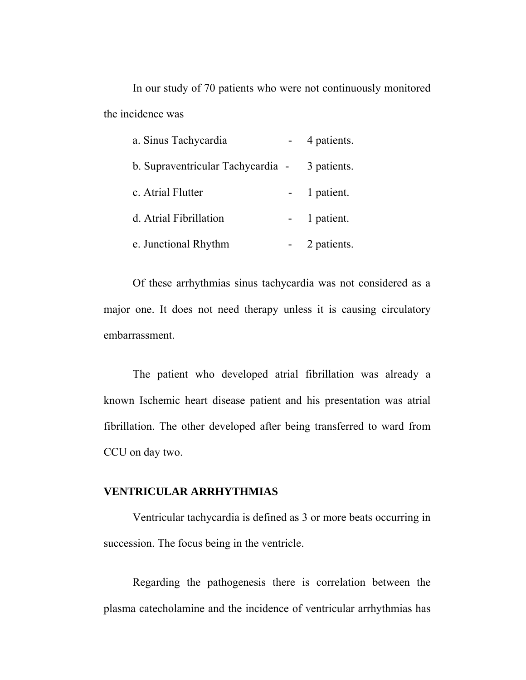In our study of 70 patients who were not continuously monitored the incidence was

| a. Sinus Tachycardia              | 4 patients. |
|-----------------------------------|-------------|
| b. Supraventricular Tachycardia - | 3 patients. |
| c. Atrial Flutter                 | 1 patient.  |
| d. Atrial Fibrillation            | 1 patient.  |
| e. Junctional Rhythm              | 2 patients. |

Of these arrhythmias sinus tachycardia was not considered as a major one. It does not need therapy unless it is causing circulatory embarrassment.

The patient who developed atrial fibrillation was already a known Ischemic heart disease patient and his presentation was atrial fibrillation. The other developed after being transferred to ward from CCU on day two.

## **VENTRICULAR ARRHYTHMIAS**

Ventricular tachycardia is defined as 3 or more beats occurring in succession. The focus being in the ventricle.

Regarding the pathogenesis there is correlation between the plasma catecholamine and the incidence of ventricular arrhythmias has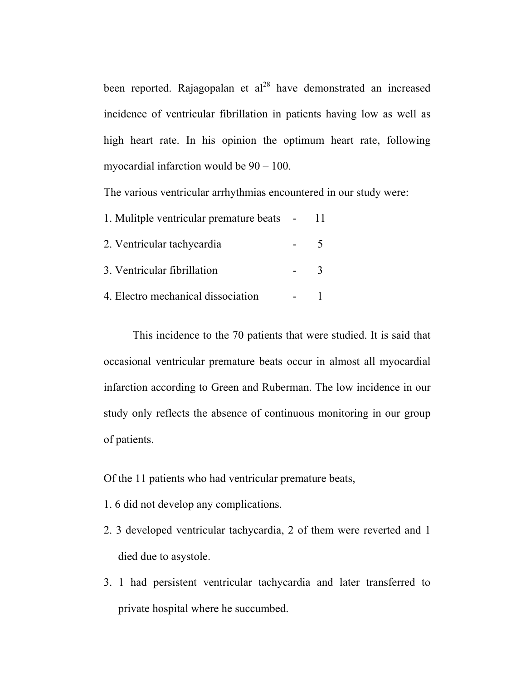been reported. Rajagopalan et  $al^{28}$  have demonstrated an increased incidence of ventricular fibrillation in patients having low as well as high heart rate. In his opinion the optimum heart rate, following myocardial infarction would be 90 – 100.

The various ventricular arrhythmias encountered in our study were:

| 1. Mulitple ventricular premature beats - |  |
|-------------------------------------------|--|
| 2. Ventricular tachycardia                |  |
| 3. Ventricular fibrillation               |  |
| 4. Electro mechanical dissociation        |  |

This incidence to the 70 patients that were studied. It is said that occasional ventricular premature beats occur in almost all myocardial infarction according to Green and Ruberman. The low incidence in our study only reflects the absence of continuous monitoring in our group of patients.

Of the 11 patients who had ventricular premature beats,

- 1. 6 did not develop any complications.
- 2. 3 developed ventricular tachycardia, 2 of them were reverted and 1 died due to asystole.
- 3. 1 had persistent ventricular tachycardia and later transferred to private hospital where he succumbed.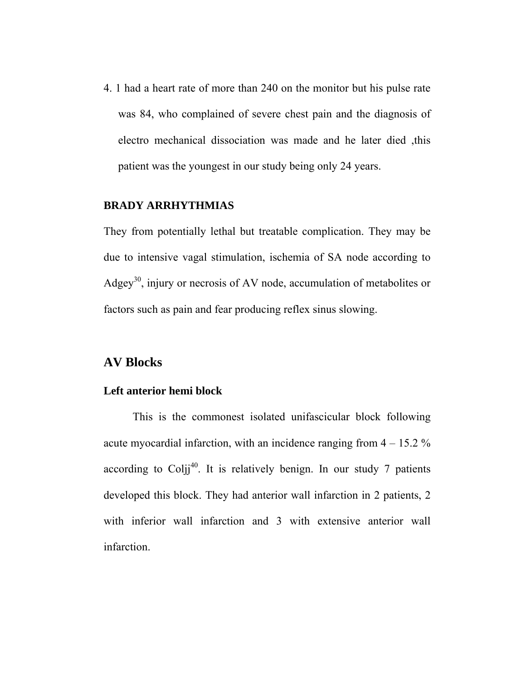4. 1 had a heart rate of more than 240 on the monitor but his pulse rate was 84, who complained of severe chest pain and the diagnosis of electro mechanical dissociation was made and he later died ,this patient was the youngest in our study being only 24 years.

## **BRADY ARRHYTHMIAS**

They from potentially lethal but treatable complication. They may be due to intensive vagal stimulation, ischemia of SA node according to Adgey<sup>30</sup>, injury or necrosis of AV node, accumulation of metabolites or factors such as pain and fear producing reflex sinus slowing.

## **AV Blocks**

#### **Left anterior hemi block**

This is the commonest isolated unifascicular block following acute myocardial infarction, with an incidence ranging from  $4 - 15.2 \%$ according to  $Colii^{40}$ . It is relatively benign. In our study 7 patients developed this block. They had anterior wall infarction in 2 patients, 2 with inferior wall infarction and 3 with extensive anterior wall infarction.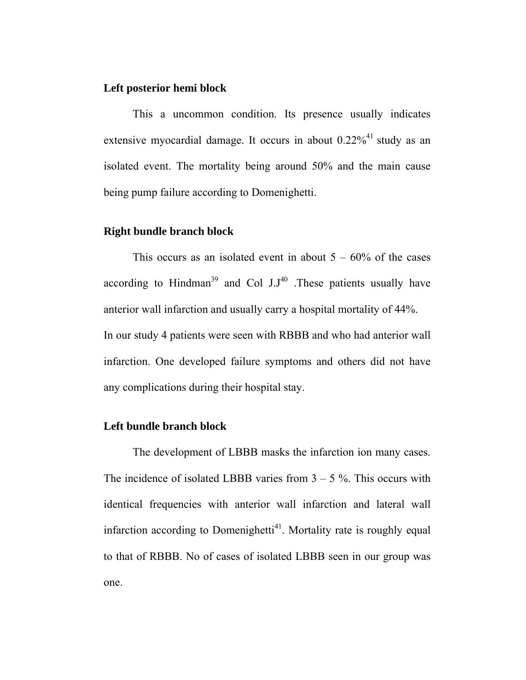### **Left posterior hemi block**

This a uncommon condition. Its presence usually indicates extensive myocardial damage. It occurs in about  $0.22\%^{41}$  study as an isolated event. The mortality being around 50% and the main cause being pump failure according to Domenighetti.

### **Right bundle branch block**

This occurs as an isolated event in about  $5 - 60\%$  of the cases according to Hindman<sup>39</sup> and Col  $J.J^{40}$ . These patients usually have anterior wall infarction and usually carry a hospital mortality of 44%. In our study 4 patients were seen with RBBB and who had anterior wall infarction. One developed failure symptoms and others did not have any complications during their hospital stay.

### **Left bundle branch block**

The development of LBBB masks the infarction ion many cases. The incidence of isolated LBBB varies from  $3 - 5$ %. This occurs with identical frequencies with anterior wall infarction and lateral wall infarction according to Domenighetti<sup>41</sup>. Mortality rate is roughly equal to that of RBBB. No of cases of isolated LBBB seen in our group was one.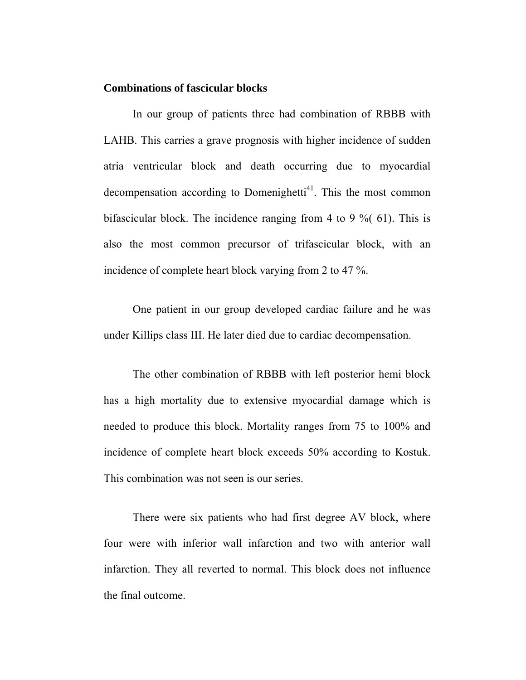#### **Combinations of fascicular blocks**

In our group of patients three had combination of RBBB with LAHB. This carries a grave prognosis with higher incidence of sudden atria ventricular block and death occurring due to myocardial decompensation according to Domenighetti<sup>41</sup>. This the most common bifascicular block. The incidence ranging from 4 to 9 %( 61). This is also the most common precursor of trifascicular block, with an incidence of complete heart block varying from 2 to 47 %.

One patient in our group developed cardiac failure and he was under Killips class III. He later died due to cardiac decompensation.

The other combination of RBBB with left posterior hemi block has a high mortality due to extensive myocardial damage which is needed to produce this block. Mortality ranges from 75 to 100% and incidence of complete heart block exceeds 50% according to Kostuk. This combination was not seen is our series.

There were six patients who had first degree AV block, where four were with inferior wall infarction and two with anterior wall infarction. They all reverted to normal. This block does not influence the final outcome.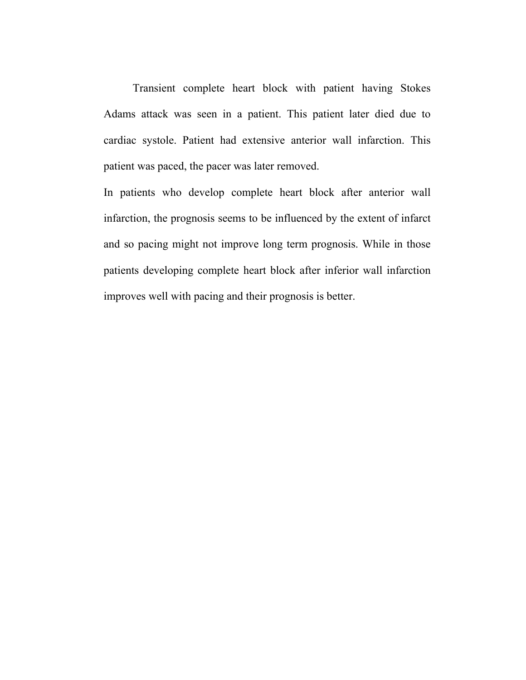Transient complete heart block with patient having Stokes Adams attack was seen in a patient. This patient later died due to cardiac systole. Patient had extensive anterior wall infarction. This patient was paced, the pacer was later removed.

In patients who develop complete heart block after anterior wall infarction, the prognosis seems to be influenced by the extent of infarct and so pacing might not improve long term prognosis. While in those patients developing complete heart block after inferior wall infarction improves well with pacing and their prognosis is better.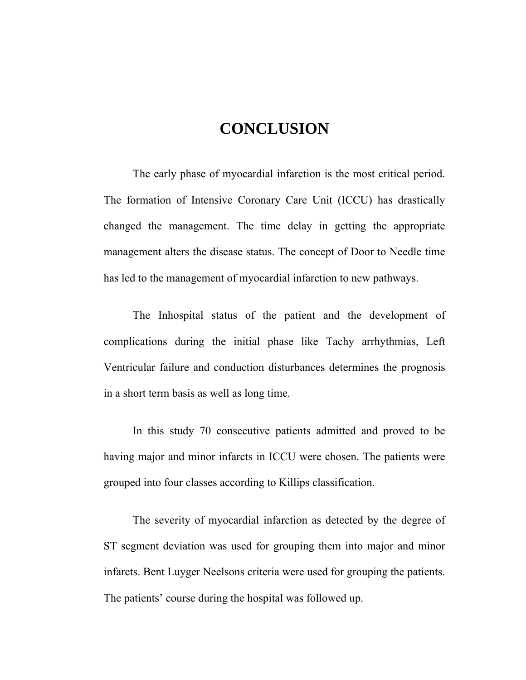# **CONCLUSION**

The early phase of myocardial infarction is the most critical period. The formation of Intensive Coronary Care Unit (ICCU) has drastically changed the management. The time delay in getting the appropriate management alters the disease status. The concept of Door to Needle time has led to the management of myocardial infarction to new pathways.

The Inhospital status of the patient and the development of complications during the initial phase like Tachy arrhythmias, Left Ventricular failure and conduction disturbances determines the prognosis in a short term basis as well as long time.

In this study 70 consecutive patients admitted and proved to be having major and minor infarcts in ICCU were chosen. The patients were grouped into four classes according to Killips classification.

The severity of myocardial infarction as detected by the degree of ST segment deviation was used for grouping them into major and minor infarcts. Bent Luyger Neelsons criteria were used for grouping the patients. The patients' course during the hospital was followed up.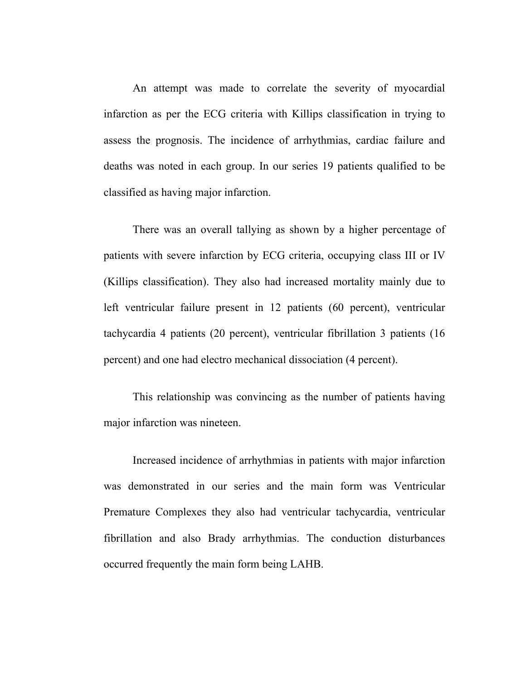An attempt was made to correlate the severity of myocardial infarction as per the ECG criteria with Killips classification in trying to assess the prognosis. The incidence of arrhythmias, cardiac failure and deaths was noted in each group. In our series 19 patients qualified to be classified as having major infarction.

There was an overall tallying as shown by a higher percentage of patients with severe infarction by ECG criteria, occupying class III or IV (Killips classification). They also had increased mortality mainly due to left ventricular failure present in 12 patients (60 percent), ventricular tachycardia 4 patients (20 percent), ventricular fibrillation 3 patients (16 percent) and one had electro mechanical dissociation (4 percent).

This relationship was convincing as the number of patients having major infarction was nineteen.

Increased incidence of arrhythmias in patients with major infarction was demonstrated in our series and the main form was Ventricular Premature Complexes they also had ventricular tachycardia, ventricular fibrillation and also Brady arrhythmias. The conduction disturbances occurred frequently the main form being LAHB.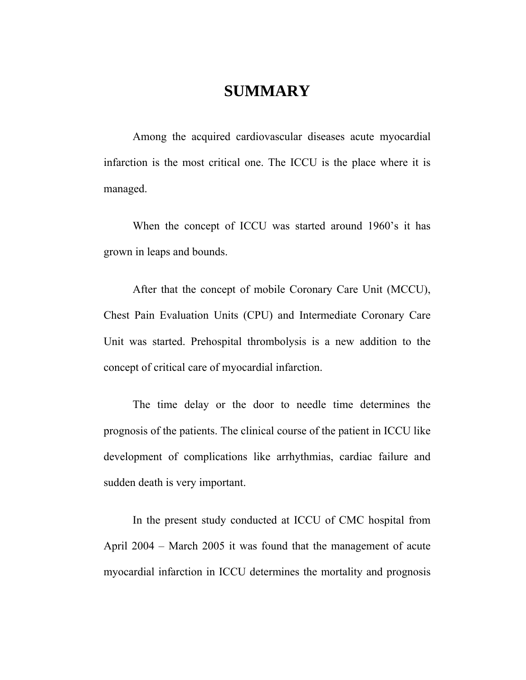## **SUMMARY**

Among the acquired cardiovascular diseases acute myocardial infarction is the most critical one. The ICCU is the place where it is managed.

When the concept of ICCU was started around 1960's it has grown in leaps and bounds.

After that the concept of mobile Coronary Care Unit (MCCU), Chest Pain Evaluation Units (CPU) and Intermediate Coronary Care Unit was started. Prehospital thrombolysis is a new addition to the concept of critical care of myocardial infarction.

The time delay or the door to needle time determines the prognosis of the patients. The clinical course of the patient in ICCU like development of complications like arrhythmias, cardiac failure and sudden death is very important.

In the present study conducted at ICCU of CMC hospital from April 2004 – March 2005 it was found that the management of acute myocardial infarction in ICCU determines the mortality and prognosis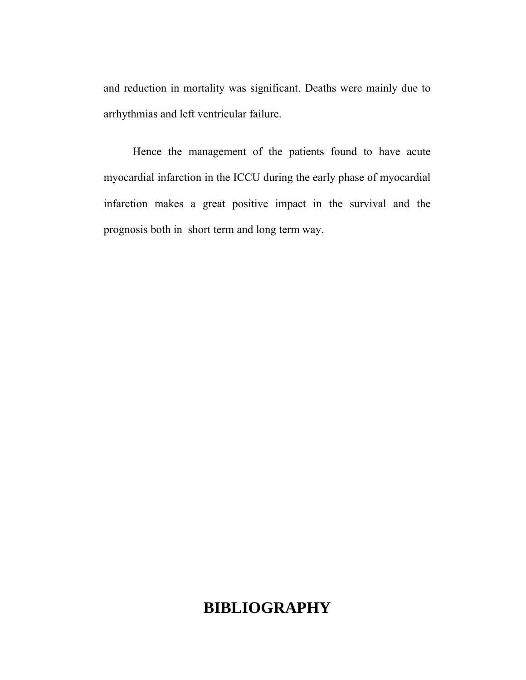and reduction in mortality was significant. Deaths were mainly due to arrhythmias and left ventricular failure.

Hence the management of the patients found to have acute myocardial infarction in the ICCU during the early phase of myocardial infarction makes a great positive impact in the survival and the prognosis both in short term and long term way.

# **BIBLIOGRAPHY**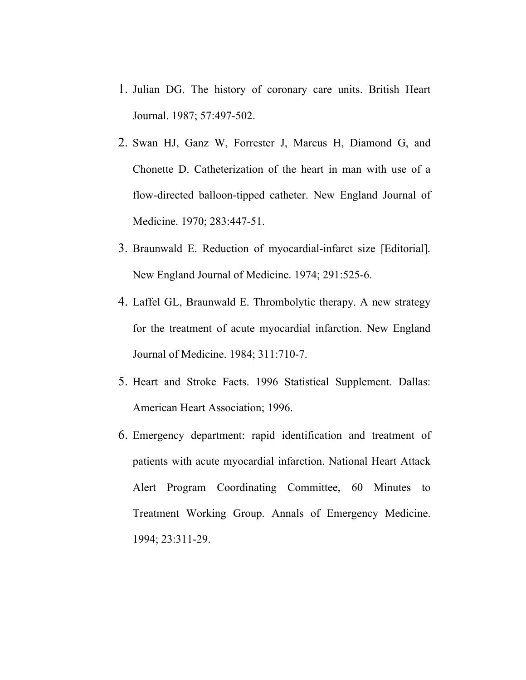- 1. Julian DG. The history of coronary care units. British Heart Journal. 1987; 57:497-502.
- 2. Swan HJ, Ganz W, Forrester J, Marcus H, Diamond G, and Chonette D. Catheterization of the heart in man with use of a flow-directed balloon-tipped catheter. New England Journal of Medicine. 1970; 283:447-51.
- 3. Braunwald E. Reduction of myocardial-infarct size [Editorial]. New England Journal of Medicine. 1974; 291:525-6.
- 4. Laffel GL, Braunwald E. Thrombolytic therapy. A new strategy for the treatment of acute myocardial infarction. New England Journal of Medicine. 1984; 311:710-7.
- 5. Heart and Stroke Facts. 1996 Statistical Supplement. Dallas: American Heart Association; 1996.
- 6. Emergency department: rapid identification and treatment of patients with acute myocardial infarction. National Heart Attack Alert Program Coordinating Committee, 60 Minutes to Treatment Working Group. Annals of Emergency Medicine. 1994; 23:311-29.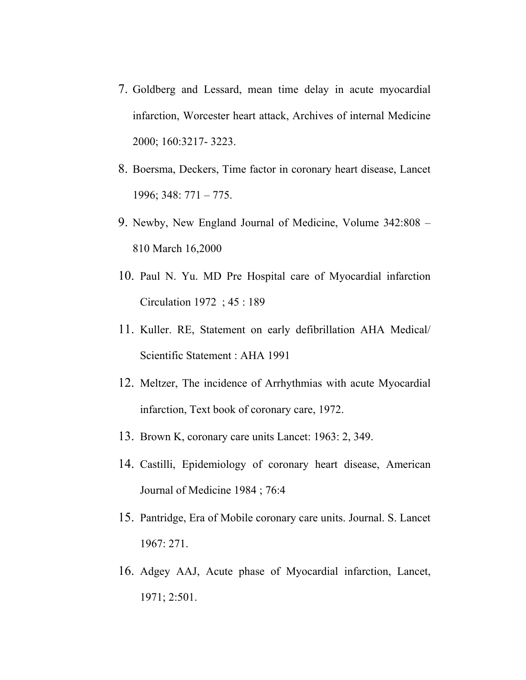- 7. Goldberg and Lessard, mean time delay in acute myocardial infarction, Worcester heart attack, Archives of internal Medicine 2000; 160:3217- 3223.
- 8. Boersma, Deckers, Time factor in coronary heart disease, Lancet 1996; 348: 771 – 775.
- 9. Newby, New England Journal of Medicine, Volume 342:808 810 March 16,2000
- 10. Paul N. Yu. MD Pre Hospital care of Myocardial infarction Circulation 1972 ; 45 : 189
- 11. Kuller. RE, Statement on early defibrillation AHA Medical/ Scientific Statement : AHA 1991
- 12. Meltzer, The incidence of Arrhythmias with acute Myocardial infarction, Text book of coronary care, 1972.
- 13. Brown K, coronary care units Lancet: 1963: 2, 349.
- 14. Castilli, Epidemiology of coronary heart disease, American Journal of Medicine 1984 ; 76:4
- 15. Pantridge, Era of Mobile coronary care units. Journal. S. Lancet 1967: 271.
- 16. Adgey AAJ, Acute phase of Myocardial infarction, Lancet, 1971; 2:501.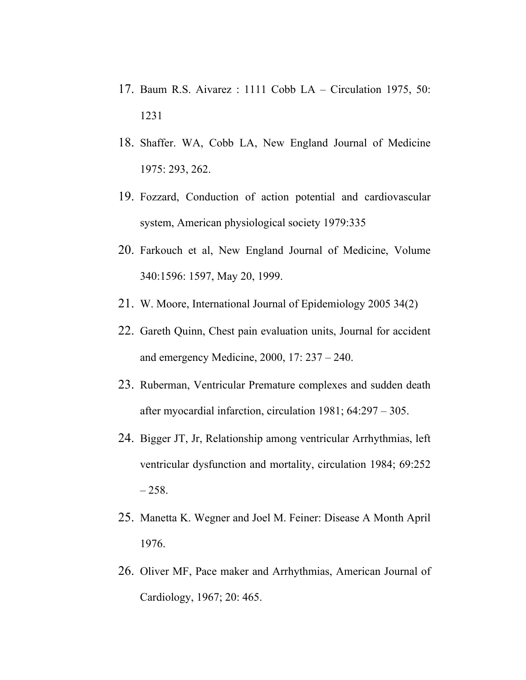- 17. Baum R.S. Aivarez : 1111 Cobb LA Circulation 1975, 50: 1231
- 18. Shaffer. WA, Cobb LA, New England Journal of Medicine 1975: 293, 262.
- 19. Fozzard, Conduction of action potential and cardiovascular system, American physiological society 1979:335
- 20. Farkouch et al, New England Journal of Medicine, Volume 340:1596: 1597, May 20, 1999.
- 21. W. Moore, International Journal of Epidemiology 2005 34(2)
- 22. Gareth Quinn, Chest pain evaluation units, Journal for accident and emergency Medicine, 2000, 17: 237 – 240.
- 23. Ruberman, Ventricular Premature complexes and sudden death after myocardial infarction, circulation 1981; 64:297 – 305.
- 24. Bigger JT, Jr, Relationship among ventricular Arrhythmias, left ventricular dysfunction and mortality, circulation 1984; 69:252  $-258.$
- 25. Manetta K. Wegner and Joel M. Feiner: Disease A Month April 1976.
- 26. Oliver MF, Pace maker and Arrhythmias, American Journal of Cardiology, 1967; 20: 465.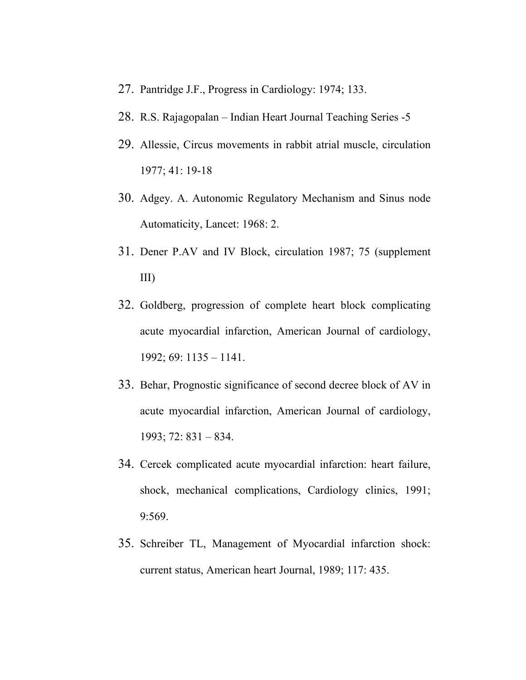- 27. Pantridge J.F., Progress in Cardiology: 1974; 133.
- 28. R.S. Rajagopalan Indian Heart Journal Teaching Series -5
- 29. Allessie, Circus movements in rabbit atrial muscle, circulation 1977; 41: 19-18
- 30. Adgey. A. Autonomic Regulatory Mechanism and Sinus node Automaticity, Lancet: 1968: 2.
- 31. Dener P.AV and IV Block, circulation 1987; 75 (supplement III)
- 32. Goldberg, progression of complete heart block complicating acute myocardial infarction, American Journal of cardiology, 1992; 69: 1135 – 1141.
- 33. Behar, Prognostic significance of second decree block of AV in acute myocardial infarction, American Journal of cardiology, 1993; 72: 831 – 834.
- 34. Cercek complicated acute myocardial infarction: heart failure, shock, mechanical complications, Cardiology clinics, 1991; 9:569.
- 35. Schreiber TL, Management of Myocardial infarction shock: current status, American heart Journal, 1989; 117: 435.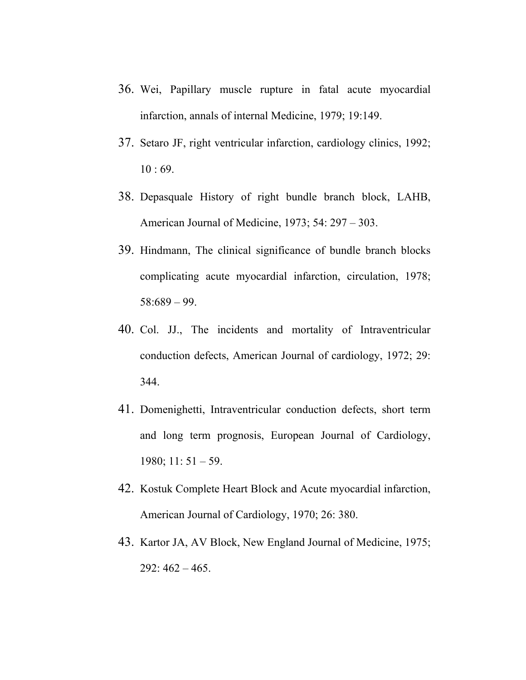- 36. Wei, Papillary muscle rupture in fatal acute myocardial infarction, annals of internal Medicine, 1979; 19:149.
- 37. Setaro JF, right ventricular infarction, cardiology clinics, 1992; 10 : 69.
- 38. Depasquale History of right bundle branch block, LAHB, American Journal of Medicine, 1973; 54: 297 – 303.
- 39. Hindmann, The clinical significance of bundle branch blocks complicating acute myocardial infarction, circulation, 1978; 58:689 – 99.
- 40. Col. JJ., The incidents and mortality of Intraventricular conduction defects, American Journal of cardiology, 1972; 29: 344.
- 41. Domenighetti, Intraventricular conduction defects, short term and long term prognosis, European Journal of Cardiology, 1980; 11: 51 – 59.
- 42. Kostuk Complete Heart Block and Acute myocardial infarction, American Journal of Cardiology, 1970; 26: 380.
- 43. Kartor JA, AV Block, New England Journal of Medicine, 1975;  $292:462 - 465.$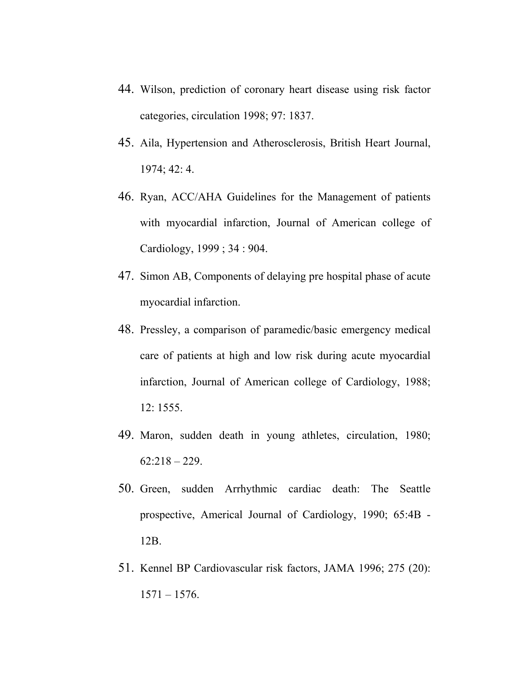- 44. Wilson, prediction of coronary heart disease using risk factor categories, circulation 1998; 97: 1837.
- 45. Aila, Hypertension and Atherosclerosis, British Heart Journal, 1974; 42: 4.
- 46. Ryan, ACC/AHA Guidelines for the Management of patients with myocardial infarction, Journal of American college of Cardiology, 1999 ; 34 : 904.
- 47. Simon AB, Components of delaying pre hospital phase of acute myocardial infarction.
- 48. Pressley, a comparison of paramedic/basic emergency medical care of patients at high and low risk during acute myocardial infarction, Journal of American college of Cardiology, 1988; 12: 1555.
- 49. Maron, sudden death in young athletes, circulation, 1980;  $62:218 - 229$ .
- 50. Green, sudden Arrhythmic cardiac death: The Seattle prospective, Americal Journal of Cardiology, 1990; 65:4B - 12B.
- 51. Kennel BP Cardiovascular risk factors, JAMA 1996; 275 (20):  $1571 - 1576$ .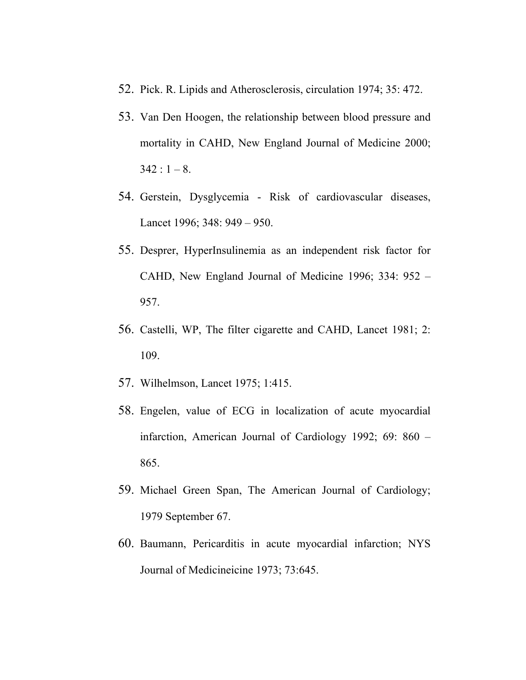- 52. Pick. R. Lipids and Atherosclerosis, circulation 1974; 35: 472.
- 53. Van Den Hoogen, the relationship between blood pressure and mortality in CAHD, New England Journal of Medicine 2000;  $342 : 1 - 8.$
- 54. Gerstein, Dysglycemia Risk of cardiovascular diseases, Lancet 1996; 348: 949 – 950.
- 55. Desprer, HyperInsulinemia as an independent risk factor for CAHD, New England Journal of Medicine 1996; 334: 952 – 957.
- 56. Castelli, WP, The filter cigarette and CAHD, Lancet 1981; 2: 109.
- 57. Wilhelmson, Lancet 1975; 1:415.
- 58. Engelen, value of ECG in localization of acute myocardial infarction, American Journal of Cardiology 1992; 69: 860 – 865.
- 59. Michael Green Span, The American Journal of Cardiology; 1979 September 67.
- 60. Baumann, Pericarditis in acute myocardial infarction; NYS Journal of Medicineicine 1973; 73:645.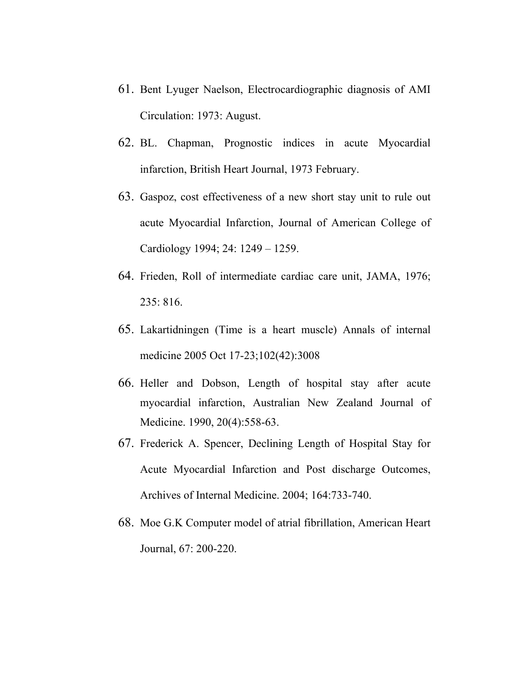- 61. Bent Lyuger Naelson, Electrocardiographic diagnosis of AMI Circulation: 1973: August.
- 62. BL. Chapman, Prognostic indices in acute Myocardial infarction, British Heart Journal, 1973 February.
- 63. Gaspoz, cost effectiveness of a new short stay unit to rule out acute Myocardial Infarction, Journal of American College of Cardiology 1994; 24: 1249 – 1259.
- 64. Frieden, Roll of intermediate cardiac care unit, JAMA, 1976; 235: 816.
- 65. Lakartidningen (Time is a heart muscle) Annals of internal medicine 2005 Oct 17-23;102(42):3008
- 66. Heller and Dobson, Length of hospital stay after acute myocardial infarction, Australian New Zealand Journal of Medicine. 1990, 20(4):558-63.
- 67. Frederick A. Spencer, Declining Length of Hospital Stay for Acute Myocardial Infarction and Post discharge Outcomes, Archives of Internal Medicine. 2004; 164:733-740.
- 68. Moe G.K Computer model of atrial fibrillation, American Heart Journal, 67: 200-220.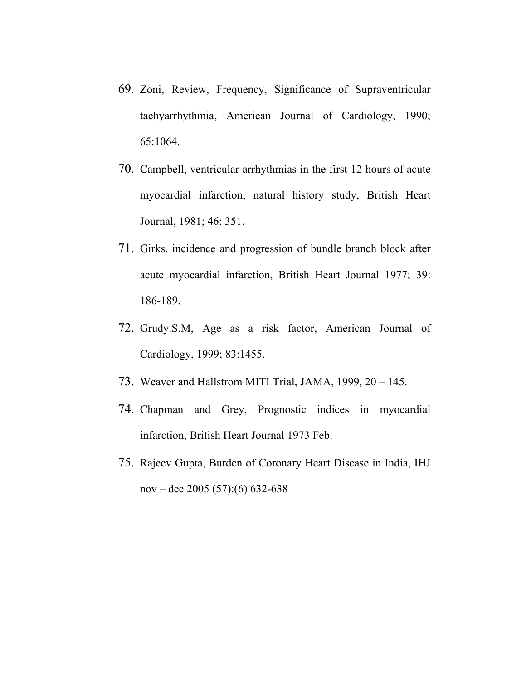- 69. Zoni, Review, Frequency, Significance of Supraventricular tachyarrhythmia, American Journal of Cardiology, 1990; 65:1064.
- 70. Campbell, ventricular arrhythmias in the first 12 hours of acute myocardial infarction, natural history study, British Heart Journal, 1981; 46: 351.
- 71. Girks, incidence and progression of bundle branch block after acute myocardial infarction, British Heart Journal 1977; 39: 186-189.
- 72. Grudy.S.M, Age as a risk factor, American Journal of Cardiology, 1999; 83:1455.
- 73. Weaver and Hallstrom MITI Trial, JAMA, 1999, 20 145.
- 74. Chapman and Grey, Prognostic indices in myocardial infarction, British Heart Journal 1973 Feb.
- 75. Rajeev Gupta, Burden of Coronary Heart Disease in India, IHJ nov – dec 2005 (57):(6) 632-638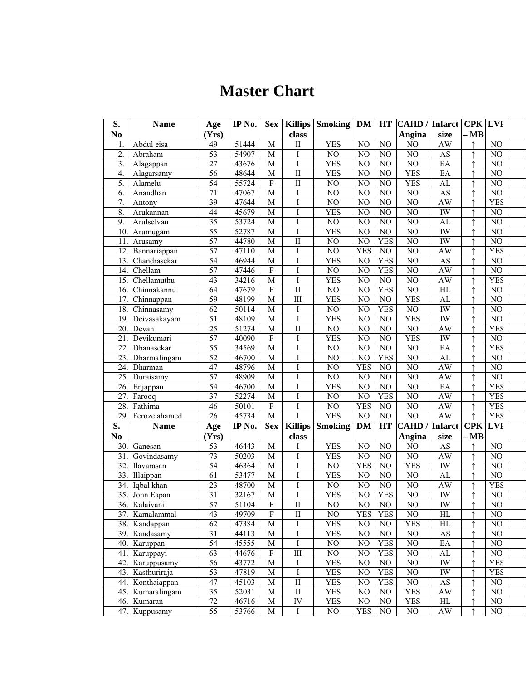# **Master Chart**

| S.                | Name          | Age             | IP No.             | <b>Sex</b>              |                         | Killips Smoking | <b>DM</b>       | HT              | <b>CAHD</b> / Infarct |                            | <b>CPK LVI</b> |                 |  |
|-------------------|---------------|-----------------|--------------------|-------------------------|-------------------------|-----------------|-----------------|-----------------|-----------------------|----------------------------|----------------|-----------------|--|
| N <sub>0</sub>    |               | (Yrs)           |                    |                         | class                   |                 |                 |                 | Angina                | size                       | $- MB$         |                 |  |
| $\mathbf{1}$      | Abdul eisa    | 49              | 51444              | $\mathbf M$             | $\rm II$                | <b>YES</b>      | $\rm NO$        | $\rm NO$        | $\overline{NO}$       | AW                         |                | NO              |  |
| $\overline{2}$    | Abraham       | 53              | 54907              | M                       | $\mathbf I$             | N <sub>O</sub>  | NO              | NO              | $\overline{NO}$       | $\overline{AS}$            |                | $\overline{NO}$ |  |
| 3.                | Alagappan     | 27              | 43676              | ${\bf M}$               | $\rm I$                 | <b>YES</b>      | NO              | NO              | NO                    | EA                         |                | N <sub>O</sub>  |  |
| $\overline{4}$    | Alagarsamy    | $\overline{56}$ | 48644              | M                       | $\overline{\mathbf{I}}$ | <b>YES</b>      | NO              | NO              | <b>YES</b>            | EA                         |                | N <sub>O</sub>  |  |
| 5.                | Alamelu       | 54              | 55724              | $\rm F$                 | $\label{eq:1} \prod$    | $\rm NO$        | NO              | NO              | <b>YES</b>            | ${\rm AL}$                 | $\uparrow$     | N <sub>O</sub>  |  |
| 6.                | Anandhan      | 71              | 47067              | $\mathbf M$             | $\rm I$                 | NO              | NO              | NO              | NO                    | $\mathbf{A}\mathbf{S}$     |                | N <sub>O</sub>  |  |
| 7.                | Antony        | 39              | 47644              | M                       | I                       | NO              | NO              | NO              | NO                    | AW                         |                | <b>YES</b>      |  |
| 8.                | Arukannan     | 44              | 45679              | M                       | $\mathbf I$             | <b>YES</b>      | NO              | NO              | NO                    | ${\rm I}{\rm W}$           |                | NO              |  |
| 9.                | Arulselvan    | $\overline{35}$ | 53724              | $\mathbf M$             | I                       | $\rm NO$        | $\rm NO$        | $NO$            | NO                    | $\mathbf{AL}$              |                | NO              |  |
| 10.               | Arumugam      | $\overline{55}$ | 52787              | M                       | $\mathbf I$             | <b>YES</b>      | NO              | NO              | NO                    | IW                         |                | NO              |  |
| 11.               | Arusamy       | 57              | 44780              | M                       | $\overline{\rm II}$     | $\overline{NO}$ | $\overline{NO}$ | <b>YES</b>      | $\overline{NO}$       | IW                         |                | N <sub>0</sub>  |  |
| $\overline{12}$   | Bannariappan  | $\overline{57}$ | 47110              | M                       | $\bf I$                 | N <sub>O</sub>  | <b>YES</b>      | $\overline{NO}$ | N <sub>O</sub>        | <b>AW</b>                  |                | <b>YES</b>      |  |
| $\overline{13}$ . | Chandrasekar  | 54              | 46944              | $\overline{M}$          | I                       | <b>YES</b>      | $\overline{NO}$ | <b>YES</b>      | $\overline{NO}$       | <b>AS</b>                  |                | N <sub>0</sub>  |  |
| 14.               | Chellam       | $\overline{57}$ | 47446              | $\rm F$                 | $\rm I$                 | NO              | NO              | <b>YES</b>      | NO                    | AW                         |                | $\rm NO$        |  |
| 15.               | Chellamuthu   | 43              | 34216              | $\mathbf M$             | $\mathbf I$             | <b>YES</b>      | NO              | $\rm NO$        | NO                    | AW                         |                | <b>YES</b>      |  |
| 16.               | Chinnakannu   | 64              | 47679              | $\rm F$                 | $\rm II$                | NO              | NO              | <b>YES</b>      | NO                    | $\mathop{\rm HL}\nolimits$ |                | $\rm NO$        |  |
| 17.               | Chinnappan    | 59              | 48199              | $\mathbf M$             | $\overline{\rm III}$    | <b>YES</b>      | NO              | $\rm NO$        | <b>YES</b>            | ${\rm AL}$                 |                | NO              |  |
| 18.               | Chinnasamy    | 62              | 50114              | $\mathbf M$             | $\rm I$                 | $\rm NO$        | $\rm NO$        | <b>YES</b>      | $\rm NO$              | IW                         |                | $NO$            |  |
| 19.               | Deivasakayam  | $\overline{51}$ | 48109              | M                       | $\overline{I}$          | YES             | NO              | NO              | <b>YES</b>            | <b>IW</b>                  |                | NO              |  |
| 20.               | Devan         | $\overline{25}$ | 51274              | M                       | $\overline{\mathbf{I}}$ | $\overline{NO}$ | NO              | N <sub>0</sub>  | $\overline{NO}$       | <b>AW</b>                  |                | <b>YES</b>      |  |
| 21                | Devikumari    | 57              | 40090              | $\overline{F}$          | $\mathbf I$             | <b>YES</b>      | $\overline{NO}$ | N <sub>0</sub>  | <b>YES</b>            | <b>IW</b>                  |                | $\overline{NO}$ |  |
| 22                | Dhanasekar    | $\overline{55}$ | 34569              | $\mathbf M$             | I                       | N <sub>0</sub>  | NO              | N <sub>0</sub>  | $\overline{NO}$       | EA                         |                | <b>YES</b>      |  |
| 23.               | Dharmalingam  | $\overline{52}$ | 46700              | M                       | I                       | NO              | NO              | <b>YES</b>      | $\overline{NO}$       | AL                         |                | NO              |  |
| 24.               | Dharman       | 47              | 48796              | $\mathbf M$             | I                       | NO              | <b>YES</b>      | NO              | NO                    | AW                         |                | NO              |  |
| 25.               | Duraisamy     | 57              | 48909              | M                       | $\mathbf I$             | NO              | NO              | NO              | NO                    | AW                         |                | NO              |  |
| 26.               | Enjappan      | $\overline{54}$ | 46700              | $\mathbf M$             | I                       | <b>YES</b>      | $\rm NO$        | $\rm NO$        | $\rm NO$              | EA                         |                | <b>YES</b>      |  |
| 27.               | Farooq        | $\overline{37}$ | 52274              | $\mathbf M$             | I                       | NO              | NO              | <b>YES</b>      | NO                    | AW                         |                | <b>YES</b>      |  |
| 28.               | Fathima       | 46              | 50101              | $\overline{F}$          | $\rm I$                 | NO              | <b>YES</b>      | NO              | NO                    | AW                         |                | <b>YES</b>      |  |
| $\overline{29}$ . | Feroze ahamed | 26              | 45734              | $\overline{M}$          | $\overline{I}$          | <b>YES</b>      | $\overline{NO}$ | $\overline{NO}$ | N <sub>O</sub>        | <b>AW</b>                  | $\uparrow$     | <b>YES</b>      |  |
| S.                | <b>Name</b>   | Age             | IP No.             | <b>Sex</b>              | Killips                 | <b>Smoking</b>  | <b>DM</b>       | HT              | <b>CAHD</b> / Infarct |                            | CPK            | <b>LVI</b>      |  |
| N <sub>0</sub>    |               | (Yrs)           |                    |                         | class                   |                 |                 |                 | Angina                | size                       | $- MB$         |                 |  |
| 30.               | Ganesan       | 53              | 46443              | M                       | I                       | <b>YES</b>      | NO              | NO              | NO                    | $\mathbf{A}\mathbf{S}$     |                | N <sub>O</sub>  |  |
| 31.               | Govindasamy   | 73              | $\overline{50203}$ | M                       | $\rm I$                 | <b>YES</b>      | $\rm NO$        | NO              | $\overline{NO}$       | AW                         | $\uparrow$     | $\rm NO$        |  |
| $\overline{32}$   | Ilavarasan    | $\overline{54}$ | 46364              | M                       | I                       | N <sub>0</sub>  | <b>YES</b>      | NO              | <b>YES</b>            | <b>IW</b>                  |                | $\overline{NO}$ |  |
| 33.               | Illaippan     | 61              | 53477              | M                       | Ι                       | <b>YES</b>      | $\rm NO$        | NO              | $\rm NO$              | ${\rm AL}$                 |                | $\rm NO$        |  |
| $\overline{34}$ . | Iqbal khan    | 23              | 48700              | M                       | I                       | N <sub>O</sub>  | $\rm NO$        | NO              | $\overline{NO}$       | AW                         |                | <b>YES</b>      |  |
| 35.               | John Eapan    | $\overline{31}$ | 32167              | $\mathbf M$             | $\mathbf I$             | <b>YES</b>      | $\rm NO$        | <b>YES</b>      | NO                    | IW                         |                | $\rm NO$        |  |
|                   | 36. Kalaivani | 57              | 51104              | $\overline{\mathrm{F}}$ | $\overline{\rm II}$     | NO              | N <sub>O</sub>  | N <sub>O</sub>  | NO                    | ${\rm I}{\rm W}$           | $\rightarrow$  | N <sub>O</sub>  |  |
| 37.               | Kamalammal    | 43              | 49709              | $\mathbf F$             | $\mathbf{I}$            | NO              | <b>YES</b>      | <b>YES</b>      | NO                    | HL                         |                | NO              |  |
| 38.               | Kandappan     | 62              | 47384              | $\mathbf M$             | I                       | <b>YES</b>      | N <sub>O</sub>  | NO              | <b>YES</b>            | HL                         |                | NO              |  |
| 39.               | Kandasamy     | 31              | 44113              | ${\bf M}$               | I                       | <b>YES</b>      | NO              | NO              | NO                    | $\mathbf{A}\mathbf{S}$     |                | $\rm NO$        |  |
| 40.               | Karuppan      | 54              | 45555              | ${\bf M}$               | I                       | NO              | $\rm NO$        | <b>YES</b>      | $\rm NO$              | $\mathbf{E}\mathbf{A}$     |                | NO              |  |
| 41.               | Karuppayi     | 63              | 44676              | ${\bf F}$               | $\rm III$               | $\rm NO$        | NO              | <b>YES</b>      | $\rm NO$              | AL                         |                | NO              |  |
| 42.               | Karuppusamy   | 56              | 43772              | M                       | Ι                       | <b>YES</b>      | NO              | NO              | $\overline{NO}$       | <b>IW</b>                  |                | <b>YES</b>      |  |
| 43.               | Kasthuriraja  | 53              | 47819              | $\mathbf M$             | $\bf I$                 | <b>YES</b>      | NO              | <b>YES</b>      | NO                    | IW                         |                | <b>YES</b>      |  |
| 44.               | Konthaiappan  | 47              | 45103              | M                       | $\overline{\rm II}$     | <b>YES</b>      | $\rm NO$        | <b>YES</b>      | NO                    | $\mathbf{A}\mathbf{S}$     |                | NO              |  |
| 45.               | Kumaralingam  | $\overline{35}$ | 52031              | M                       | $\overline{\mathbf{I}}$ | <b>YES</b>      | $_{\rm NO}$     | NO              | <b>YES</b>            | AW                         |                | $_{\rm NO}$     |  |
| 46.               | Kumaran       | $\overline{72}$ | 46716              | M                       | IV                      | <b>YES</b>      | $\rm NO$        | NO              | <b>YES</b>            | $\mathop{\rm HL}\nolimits$ |                | $\rm NO$        |  |
| 47.               | Kuppusamy     | $\overline{55}$ | 53766              | $\mathbf M$             | I                       | $\rm NO$        | <b>YES</b>      | $\rm NO$        | $\rm NO$              | AW                         |                | NO              |  |
|                   |               |                 |                    |                         |                         |                 |                 |                 |                       |                            |                |                 |  |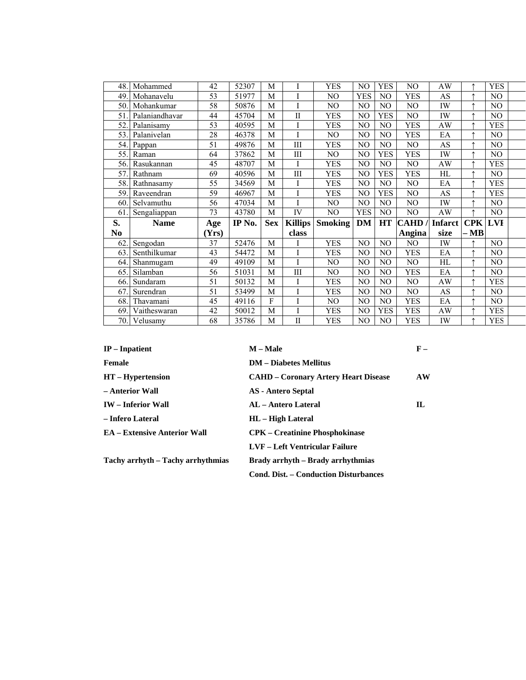| 48.1 | Mohammed                 | 42   | 52307          | M          |                 | <b>YES</b>     | N <sub>O</sub> | <b>YES</b>     | NO                       | AW             |            | <b>YES</b>     |  |
|------|--------------------------|------|----------------|------------|-----------------|----------------|----------------|----------------|--------------------------|----------------|------------|----------------|--|
| 49   | Mohanavelu               | 53   | 51977          | M          | I               | NO             | <b>YES</b>     | N <sub>O</sub> | <b>YES</b>               | AS             |            | N <sub>O</sub> |  |
| 50   | Mohankumar               | 58   | 50876          | M          |                 | NO             | NO             | N <sub>O</sub> | NO.                      | IW             |            | N <sub>O</sub> |  |
| 51   | Palaniandhavar           | 44   | 45704          | M          | $\mathbf{I}$    | <b>YES</b>     | NO             | <b>YES</b>     | NO                       | IW             |            | NO             |  |
| 52   | Palanisamy               | 53   | 40595          | M          |                 | <b>YES</b>     | NO             | N <sub>O</sub> | YES                      | AW             |            | <b>YES</b>     |  |
| 53   | Palanivelan              | 28   | 46378          | M          |                 | NO.            | NO             | N <sub>O</sub> | <b>YES</b>               | EA             |            | NO             |  |
| 54.  | Pappan                   | 51   | 49876          | M          | $\rm III$       | <b>YES</b>     | NO             | N <sub>O</sub> | NO.                      | AS             | ₳          | NO             |  |
| 55   | Raman                    | 64   | 37862          | M          | Ш               | NO.            | NO             | <b>YES</b>     | <b>YES</b>               | IW             |            | NO             |  |
| 56.  | Rasukannan               | 45   | 48707          | M          |                 | <b>YES</b>     | NO             | N <sub>O</sub> | NO.                      | AW             |            | <b>YES</b>     |  |
| 57   | Rathnam                  | 69   | 40596          | M          | III             | <b>YES</b>     | NO             | <b>YES</b>     | <b>YES</b>               | HL             |            | NO             |  |
| 58   | Rathnasamy               | 55   | 34569          | M          | $\mathbf I$     | <b>YES</b>     | N <sub>O</sub> | NO             | NO                       | EA             |            | <b>YES</b>     |  |
| 59   | Raveendran               | 59   | 46967          | M          | $\mathbf I$     | <b>YES</b>     | N <sub>O</sub> | <b>YES</b>     | NO                       | AS             |            | <b>YES</b>     |  |
| 60   | Selvamuthu               | 56   | 47034          | M          | $\mathbf{I}$    | NO             | N <sub>O</sub> | N <sub>O</sub> | NO                       | IW             |            | NO             |  |
|      |                          | 73   |                |            | $\overline{IV}$ | NO             | <b>YES</b>     | N <sub>O</sub> | NO                       | AW             |            | N <sub>O</sub> |  |
| 61   | Sengaliappan             |      | 43780          | M          |                 |                |                |                |                          |                |            |                |  |
| S.   | <b>Name</b>              | Age  | IP No.         | <b>Sex</b> | <b>Killips</b>  | <b>Smoking</b> | <b>DM</b>      | <b>HT</b>      | <b>CAHD</b>              | <b>Infarct</b> | <b>CPK</b> | <b>LVI</b>     |  |
| No   |                          | Yrs) |                |            | class           |                |                |                | Angina                   | size           | $- MB$     |                |  |
| 62   | Sengodan                 | 37   | 52476          | M          |                 | <b>YES</b>     | N <sub>O</sub> | N <sub>O</sub> | NO                       | IW             |            | N <sub>O</sub> |  |
| 63   | Senthilkumar             | 43   | 54472          | M          | T               | <b>YES</b>     | NO             | N <sub>O</sub> | <b>YES</b>               | EA             |            | N <sub>O</sub> |  |
| 64   | Shanmugam                | 49   | 49109          | M          |                 | NO             | NO             | N <sub>O</sub> | NO.                      | HL             |            | N <sub>O</sub> |  |
| 65   | Silamban                 | 56   | 51031          | M          | III             | NO             | NO             | N <sub>O</sub> | <b>YES</b>               | EA             |            | NO             |  |
| 66   | Sundaram                 | 51   | 50132          | M          |                 | YES            | NO             | N <sub>O</sub> | NO                       | AW             |            | <b>YES</b>     |  |
| 67   | Surendran                | 51   | 53499          | M          | $\mathbf I$     | <b>YES</b>     | NO             | NO             | NO                       | AS             |            | NO             |  |
| 68   | Thavamani                | 45   | 49116          | F          | I               | NO             | NO             | N <sub>O</sub> | <b>YES</b>               | EA             |            | NO             |  |
| 69   | Vaitheswaran<br>Velusamy | 42   | 50012<br>35786 | M          | $\mathbf I$     | <b>YES</b>     | NO             | <b>YES</b>     | <b>YES</b><br><b>YES</b> | AW             |            | <b>YES</b>     |  |

| $IP$ – Inpatient                    | M – Male                                     | $F -$ |
|-------------------------------------|----------------------------------------------|-------|
| Female                              | <b>DM</b> – Diabetes Mellitus                |       |
| $HT - Hypertension$                 | <b>CAHD – Coronary Artery Heart Disease</b>  | AW    |
| – Anterior Wall                     | <b>AS</b> - Antero Septal                    |       |
| <b>IW</b> – Inferior Wall           | AL – Antero Lateral                          | IL    |
| – Infero Lateral                    | HL – High Lateral                            |       |
| <b>EA</b> – Extensive Anterior Wall | <b>CPK</b> – Creatinine Phosphokinase        |       |
|                                     | LVF – Left Ventricular Failure               |       |
| Tachy arrhyth – Tachy arrhythmias   | Brady arrhyth – Brady arrhythmias            |       |
|                                     | <b>Cond. Dist. – Conduction Disturbances</b> |       |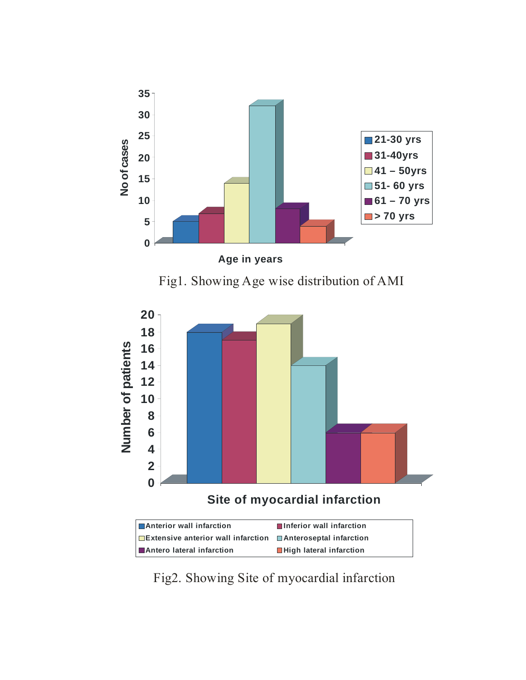

**Site of myocardial infarction** 

| <b>■ Anterior wall infarction</b>                                        | ■Inferior wall infarction |
|--------------------------------------------------------------------------|---------------------------|
| <b>Extensive anterior wall infarction Extending Departual Infarction</b> |                           |
| <b>■ Antero lateral infarction</b>                                       | ■High lateral infarction  |

Fig2. Showing Site of myocardial infarction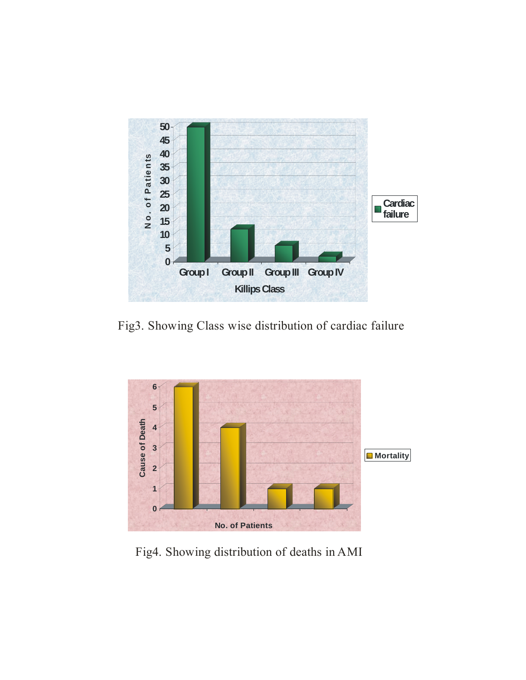

Fig3. Showing Class wise distribution of cardiac failure



Fig4. Showing distribution of deaths in AMI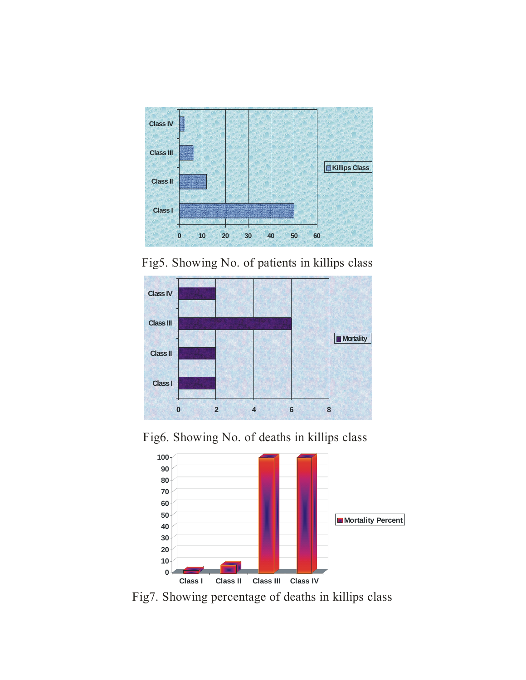

Fig5. Showing No. of patients in killips class



Fig6. Showing No. of deaths in killips class



Fig7. Showing percentage of deaths in killips class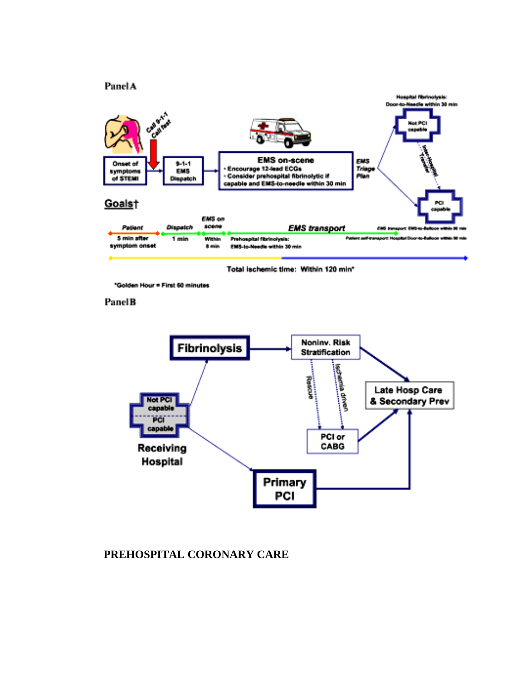#### **Panel A**



Total Ischemic time: Within 120 min\*

"Golden Hour = First 60 minutes

#### PanelB



#### **PREHOSPITAL CORONARY CARE**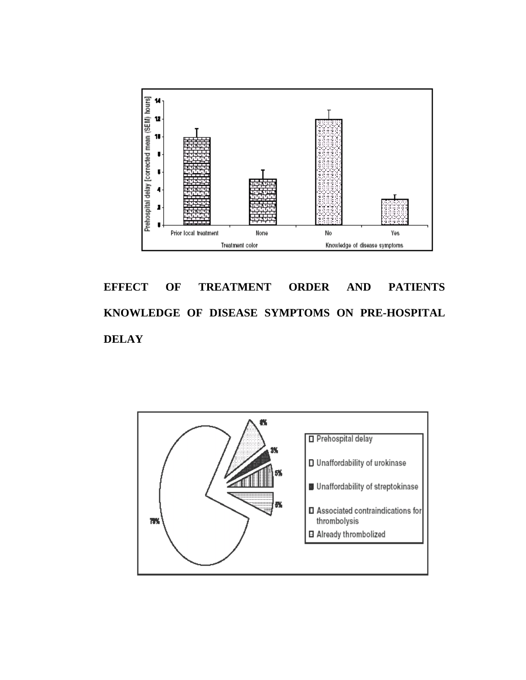

**EFFECT OF TREATMENT ORDER AND PATIENTS KNOWLEDGE OF DISEASE SYMPTOMS ON PRE-HOSPITAL DELAY** 

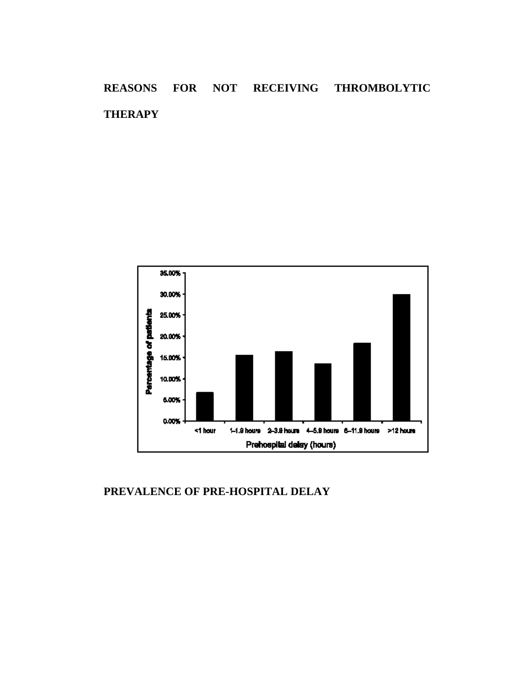# **REASONS FOR NOT RECEIVING THROMBOLYTIC THERAPY**



#### **PREVALENCE OF PRE-HOSPITAL DELAY**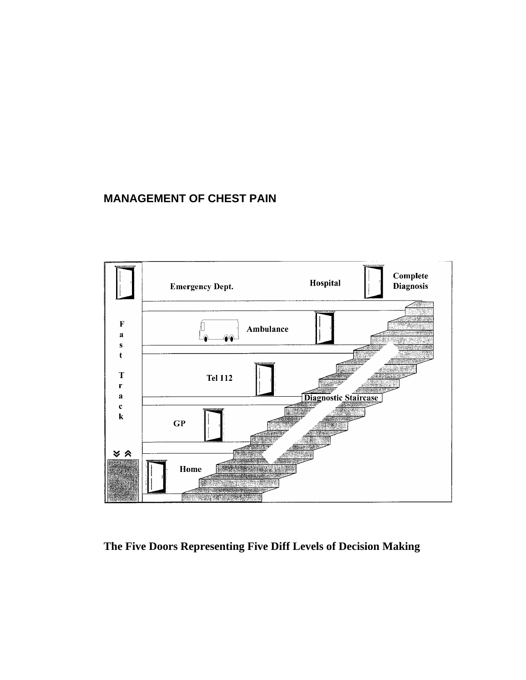# **MANAGEMENT OF CHEST PAIN**



**The Five Doors Representing Five Diff Levels of Decision Making**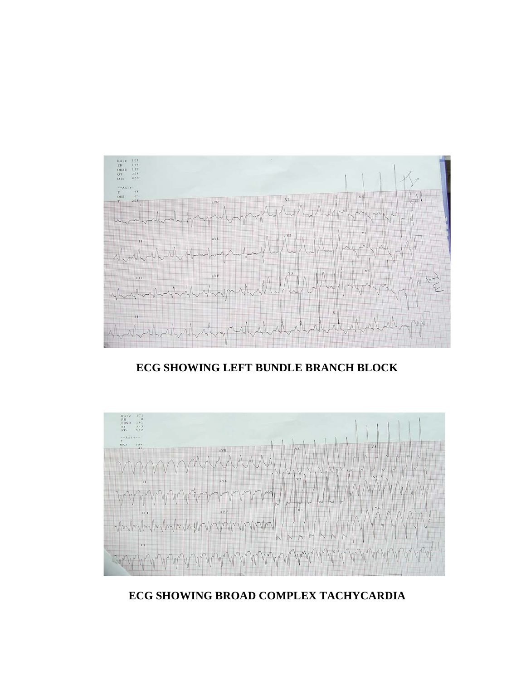# **ECG SHOWING BROAD COMPLEX TACHYCARDIA**



# **ECG SHOWING LEFT BUNDLE BRANCH BLOCK**

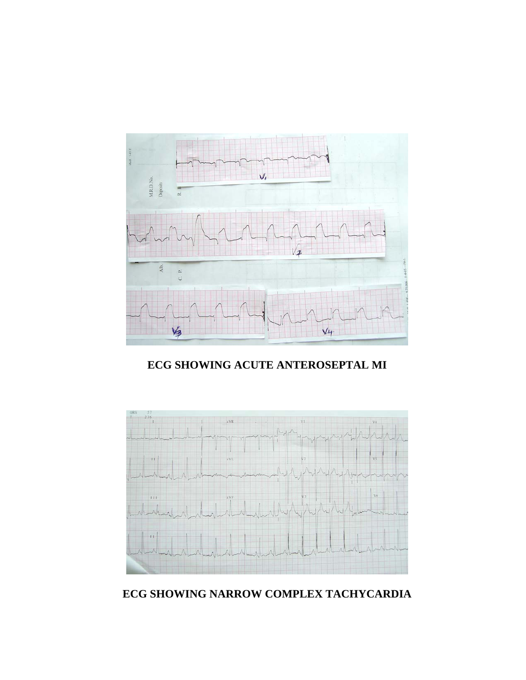

**ECG SHOWING ACUTE ANTEROSEPTAL MI** 



**ECG SHOWING NARROW COMPLEX TACHYCARDIA**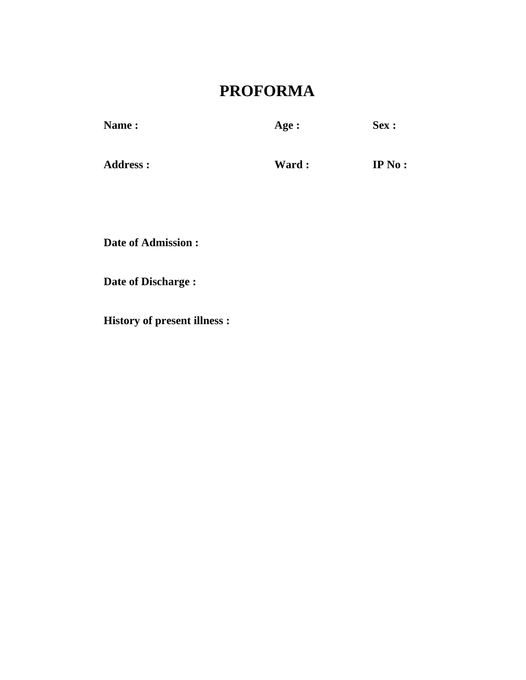# **PROFORMA**

| <b>Name:</b> | Age : | Sex: |
|--------------|-------|------|
|              |       |      |

Address : **Ward : IP No :** 

**Date of Admission :** 

**Date of Discharge :** 

**History of present illness :**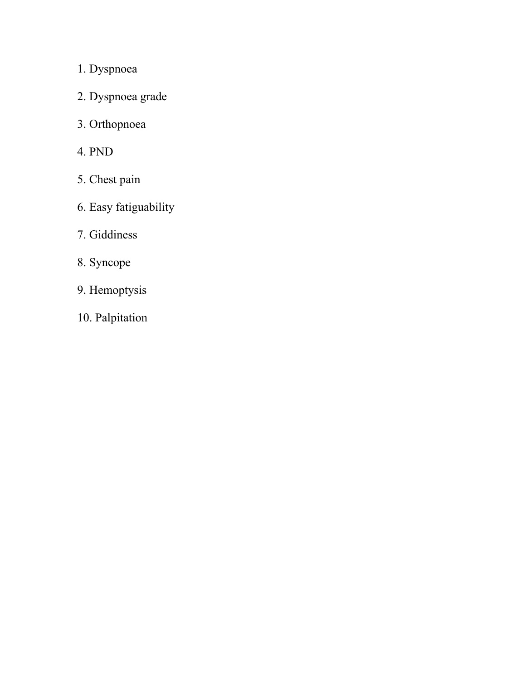1. Dyspnoea

- 2. Dyspnoea grade
- 3. Orthopnoea
- 4. PND
- 5. Chest pain
- 6. Easy fatiguability
- 7. Giddiness
- 8. Syncope
- 9. Hemoptysis
- 10. Palpitation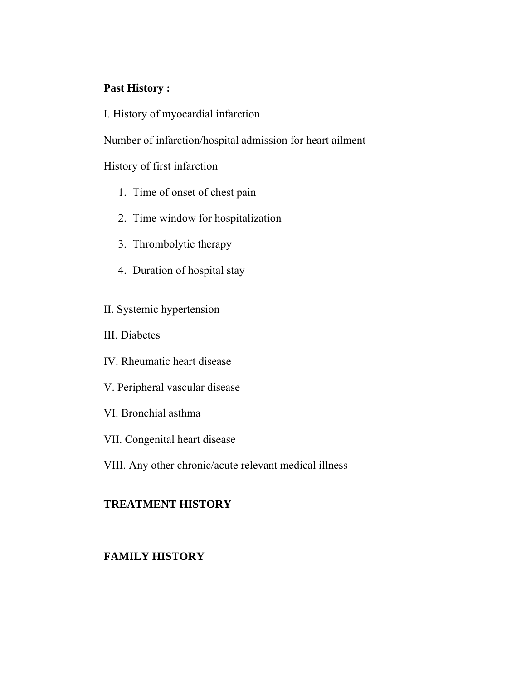#### **Past History :**

I. History of myocardial infarction

Number of infarction/hospital admission for heart ailment

History of first infarction

- 1. Time of onset of chest pain
- 2. Time window for hospitalization
- 3. Thrombolytic therapy
- 4. Duration of hospital stay
- II. Systemic hypertension
- III. Diabetes
- IV. Rheumatic heart disease
- V. Peripheral vascular disease
- VI. Bronchial asthma
- VII. Congenital heart disease
- VIII. Any other chronic/acute relevant medical illness

#### **TREATMENT HISTORY**

#### **FAMILY HISTORY**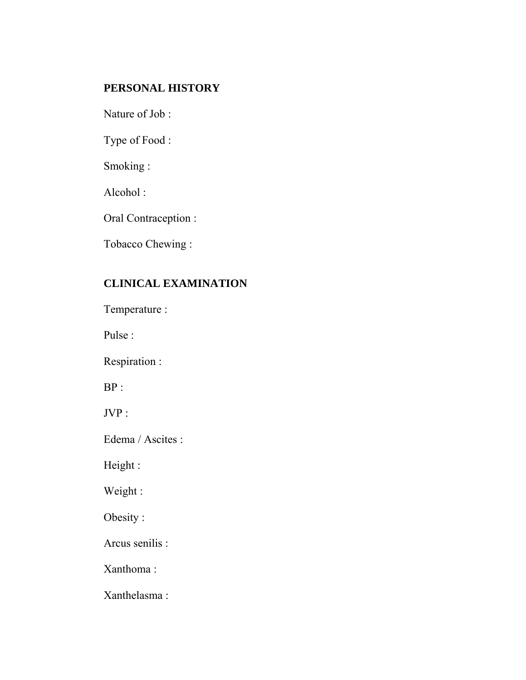# **PERSONAL HISTORY**

Nature of Job :

Type of Food :

Smoking :

Alcohol :

Oral Contraception :

Tobacco Chewing :

# **CLINICAL EXAMINATION**

Temperature :

Pulse :

Respiration :

BP :

JVP :

Edema / Ascites :

Height :

Weight :

Obesity :

Arcus senilis :

Xanthoma :

Xanthelasma :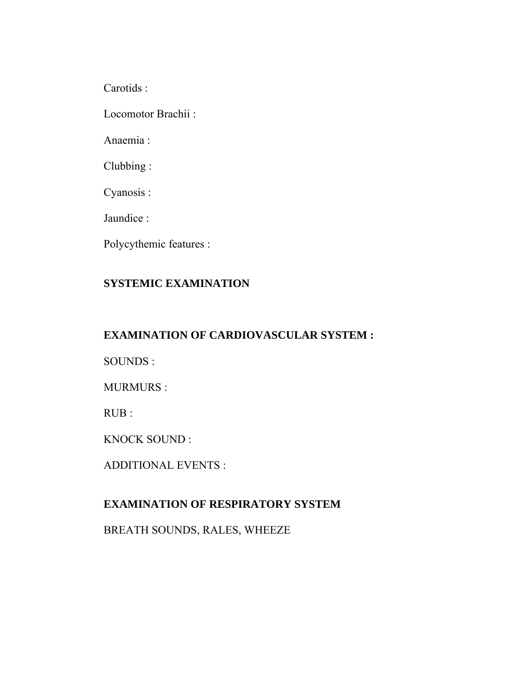Carotids :

Locomotor Brachii :

Anaemia :

Clubbing :

Cyanosis :

Jaundice :

Polycythemic features :

# **SYSTEMIC EXAMINATION**

# **EXAMINATION OF CARDIOVASCULAR SYSTEM :**

SOUNDS :

MURMURS :

RUB :

KNOCK SOUND :

ADDITIONAL EVENTS :

# **EXAMINATION OF RESPIRATORY SYSTEM**

BREATH SOUNDS, RALES, WHEEZE